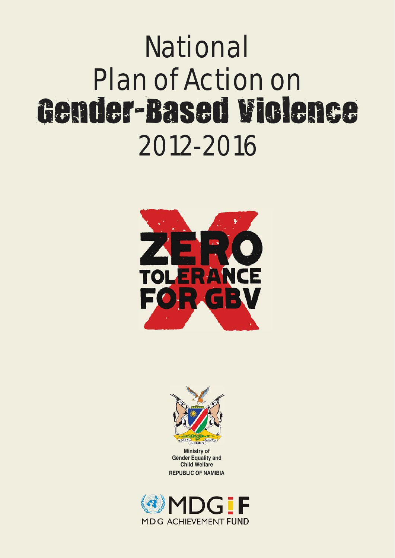# National Plan of Action on Gender-Based Violence 2012-2016





**Ministry of Gender Equality and Child Welfare REPUBLIC OF NAMIBIA**

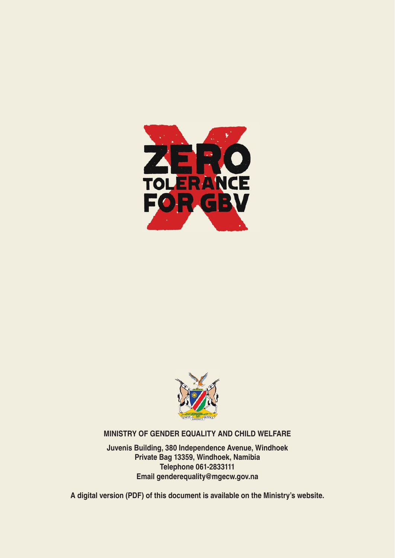



#### **MINISTRY OF GENDER EQUALITY AND CHILD WELFARE**

**Juvenis Building, 380 Independence Avenue, Windhoek Private Bag 13359, Windhoek, Namibia Telephone 061-2833111 Email genderequality@mgecw.gov.na**

**A digital version (PDF) of this document is available on the Ministry's website.**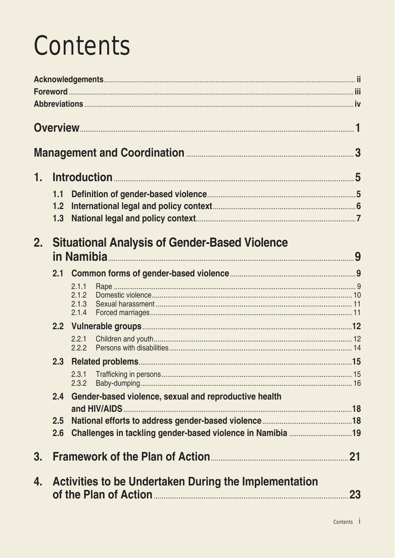# **Contents**

| 1. |     |                                                       |           |
|----|-----|-------------------------------------------------------|-----------|
|    | 1.1 |                                                       |           |
|    | 1.2 |                                                       |           |
|    | 1.3 |                                                       |           |
| 2. |     | <b>Situational Analysis of Gender-Based Violence</b>  |           |
|    | 2.1 |                                                       |           |
|    |     | 2.1.1                                                 |           |
|    |     | 2.1.2<br>2.1.3                                        |           |
|    |     | 2.1.4                                                 |           |
|    |     |                                                       |           |
|    |     | 2.2.1<br>2.2.2                                        |           |
|    | 2.3 |                                                       |           |
|    |     | 2.3.1                                                 |           |
|    |     | 2.3.2                                                 |           |
|    | 2.4 | Gender-based violence, sexual and reproductive health |           |
|    | 2.5 |                                                       |           |
|    | 2.6 |                                                       |           |
|    |     |                                                       |           |
| 3. |     |                                                       |           |
| 4. |     | Activities to be Undertaken During the Implementation | <b>23</b> |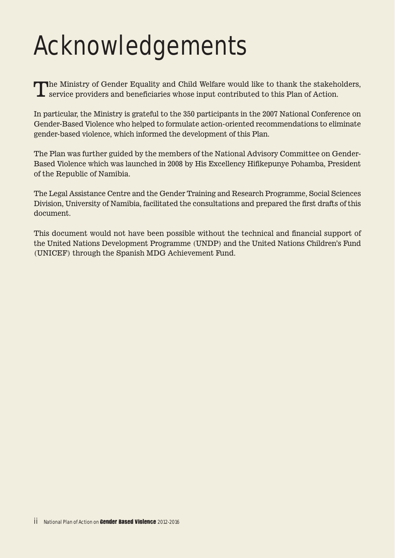# Acknowledgements

The Ministry of Gender Equality and Child Welfare would like to thank the stakeholders, service providers and beneficiaries whose input contributed to this Plan of Action.

In particular, the Ministry is grateful to the 350 participants in the 2007 National Conference on Gender-Based Violence who helped to formulate action-oriented recommendations to eliminate gender-based violence, which informed the development of this Plan.

The Plan was further guided by the members of the National Advisory Committee on Gender-Based Violence which was launched in 2008 by His Excellency Hifikepunye Pohamba, President of the Republic of Namibia.

The Legal Assistance Centre and the Gender Training and Research Programme, Social Sciences Division, University of Namibia, facilitated the consultations and prepared the first drafts of this document.

This document would not have been possible without the technical and financial support of the United Nations Development Programme (UNDP) and the United Nations Children's Fund (UNICEF) through the Spanish MDG Achievement Fund.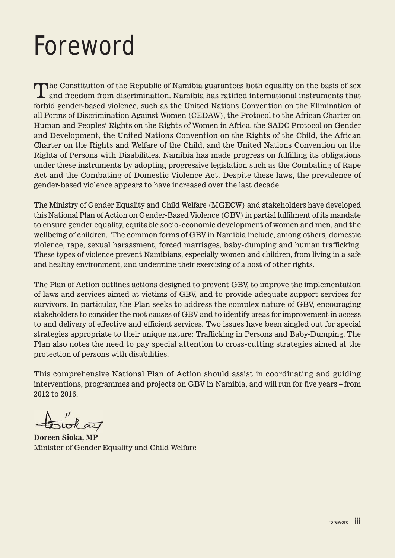## Foreword

The Constitution of the Republic of Namibia guarantees both equality on the basis of sex and freedom from discrimination. Namibia has ratified international instruments that forbid gender-based violence, such as the United Nations Convention on the Elimination of all Forms of Discrimination Against Women (CEDAW), the Protocol to the African Charter on Human and Peoples' Rights on the Rights of Women in Africa, the SADC Protocol on Gender and Development, the United Nations Convention on the Rights of the Child, the African Charter on the Rights and Welfare of the Child, and the United Nations Convention on the Rights of Persons with Disabilities. Namibia has made progress on fulfilling its obligations under these instruments by adopting progressive legislation such as the Combating of Rape Act and the Combating of Domestic Violence Act. Despite these laws, the prevalence of gender-based violence appears to have increased over the last decade.

The Ministry of Gender Equality and Child Welfare (MGECW) and stakeholders have developed this National Plan of Action on Gender-Based Violence (GBV) in partial fulfilment of its mandate to ensure gender equality, equitable socio-economic development of women and men, and the wellbeing of children. The common forms of GBV in Namibia include, among others, domestic violence, rape, sexual harassment, forced marriages, baby-dumping and human trafficking. These types of violence prevent Namibians, especially women and children, from living in a safe and healthy environment, and undermine their exercising of a host of other rights.

The Plan of Action outlines actions designed to prevent GBV, to improve the implementation of laws and services aimed at victims of GBV, and to provide adequate support services for survivors. In particular, the Plan seeks to address the complex nature of GBV, encouraging stakeholders to consider the root causes of GBV and to identify areas for improvement in access to and delivery of effective and efficient services. Two issues have been singled out for special strategies appropriate to their unique nature: Trafficking in Persons and Baby-Dumping. The Plan also notes the need to pay special attention to cross-cutting strategies aimed at the protection of persons with disabilities.

This comprehensive National Plan of Action should assist in coordinating and guiding interventions, programmes and projects on GBV in Namibia, and will run for five years – from 2012 to 2016.

 $\overline{\sim}$ wk az

**Doreen Sioka, MP** Minister of Gender Equality and Child Welfare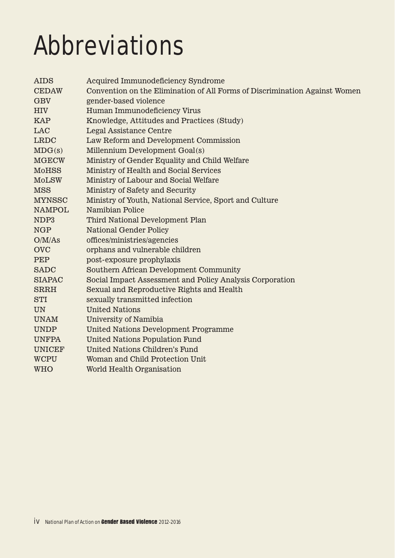# Abbreviations

| <b>AIDS</b>   | Acquired Immunodeficiency Syndrome                                         |
|---------------|----------------------------------------------------------------------------|
| <b>CEDAW</b>  | Convention on the Elimination of All Forms of Discrimination Against Women |
| <b>GBV</b>    | gender-based violence                                                      |
| <b>HIV</b>    | Human Immunodeficiency Virus                                               |
| <b>KAP</b>    | Knowledge, Attitudes and Practices (Study)                                 |
| <b>LAC</b>    | Legal Assistance Centre                                                    |
| <b>LRDC</b>   | Law Reform and Development Commission                                      |
| MDG(s)        | Millennium Development Goal(s)                                             |
| <b>MGECW</b>  | Ministry of Gender Equality and Child Welfare                              |
| <b>MoHSS</b>  | Ministry of Health and Social Services                                     |
| <b>MoLSW</b>  | Ministry of Labour and Social Welfare                                      |
| <b>MSS</b>    | Ministry of Safety and Security                                            |
| <b>MYNSSC</b> | Ministry of Youth, National Service, Sport and Culture                     |
| <b>NAMPOL</b> | Namibian Police                                                            |
| NDP3          | Third National Development Plan                                            |
| <b>NGP</b>    | <b>National Gender Policy</b>                                              |
| O/M/As        | offices/ministries/agencies                                                |
| <b>OVC</b>    | orphans and vulnerable children                                            |
| <b>PEP</b>    | post-exposure prophylaxis                                                  |
| <b>SADC</b>   | Southern African Development Community                                     |
| <b>SIAPAC</b> | Social Impact Assessment and Policy Analysis Corporation                   |
| <b>SRRH</b>   | Sexual and Reproductive Rights and Health                                  |
| <b>STI</b>    | sexually transmitted infection                                             |
| <b>UN</b>     | <b>United Nations</b>                                                      |
| <b>UNAM</b>   | University of Namibia                                                      |
| <b>UNDP</b>   | <b>United Nations Development Programme</b>                                |
| <b>UNFPA</b>  | <b>United Nations Population Fund</b>                                      |
| <b>UNICEF</b> | United Nations Children's Fund                                             |
| <b>WCPU</b>   | Woman and Child Protection Unit                                            |
| <b>WHO</b>    | World Health Organisation                                                  |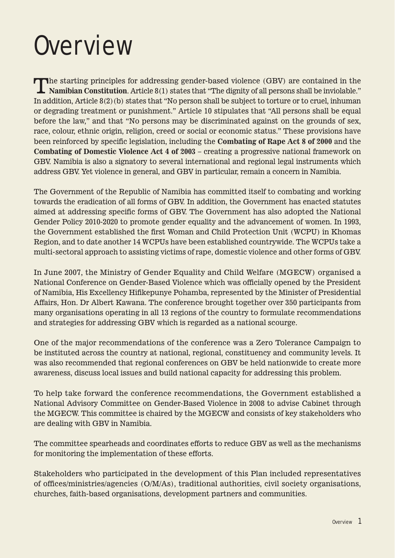## **Overview**

The starting principles for addressing gender-based violence (GBV) are contained in the Namibian Constitution. Article 8(1) states that "The dignity of all persons shall be inviolable." In addition, Article  $8(2)$  (b) states that "No person shall be subject to torture or to cruel, inhuman or degrading treatment or punishment." Article 10 stipulates that "All persons shall be equal before the law," and that "No persons may be discriminated against on the grounds of sex, race, colour, ethnic origin, religion, creed or social or economic status." These provisions have been reinforced by specific legislation, including the **Combating of Rape Act 8 of 2000** and the **Combating of Domestic Violence Act 4 of 2003** – creating a progressive national framework on GBV. Namibia is also a signatory to several international and regional legal instruments which address GBV. Yet violence in general, and GBV in particular, remain a concern in Namibia.

The Government of the Republic of Namibia has committed itself to combating and working towards the eradication of all forms of GBV. In addition, the Government has enacted statutes aimed at addressing specific forms of GBV. The Government has also adopted the National Gender Policy 2010-2020 to promote gender equality and the advancement of women. In 1993, the Government established the first Woman and Child Protection Unit (WCPU) in Khomas Region, and to date another 14 WCPUs have been established countrywide. The WCPUs take a multi-sectoral approach to assisting victims of rape, domestic violence and other forms of GBV.

In June 2007, the Ministry of Gender Equality and Child Welfare (MGECW) organised a National Conference on Gender-Based Violence which was officially opened by the President of Namibia, His Excellency Hifikepunye Pohamba, represented by the Minister of Presidential Affairs, Hon. Dr Albert Kawana. The conference brought together over 350 participants from many organisations operating in all 13 regions of the country to formulate recommendations and strategies for addressing GBV which is regarded as a national scourge.

One of the major recommendations of the conference was a Zero Tolerance Campaign to be instituted across the country at national, regional, constituency and community levels. It was also recommended that regional conferences on GBV be held nationwide to create more awareness, discuss local issues and build national capacity for addressing this problem.

To help take forward the conference recommendations, the Government established a National Advisory Committee on Gender-Based Violence in 2008 to advise Cabinet through the MGECW. This committee is chaired by the MGECW and consists of key stakeholders who are dealing with GBV in Namibia.

The committee spearheads and coordinates efforts to reduce GBV as well as the mechanisms for monitoring the implementation of these efforts.

Stakeholders who participated in the development of this Plan included representatives of offices/ministries/agencies (O/M/As), traditional authorities, civil society organisations, churches, faith-based organisations, development partners and communities.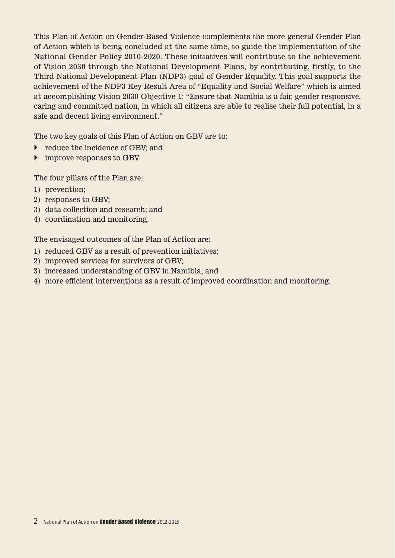This Plan of Action on Gender-Based Violence complements the more general Gender Plan of Action which is being concluded at the same time, to guide the implementation of the National Gender Policy 2010-2020. These initiatives will contribute to the achievement of Vision 2030 through the National Development Plans, by contributing, firstly, to the Third National Development Plan (NDP3) goal of Gender Equality. This goal supports the achievement of the NDP3 Key Result Area of "Equality and Social Welfare" which is aimed at accomplishing Vision 2030 Objective 1: "Ensure that Namibia is a fair, gender responsive, caring and committed nation, in which all citizens are able to realise their full potential, in a safe and decent living environment."

The two key goals of this Plan of Action on GBV are to:

- **•** reduce the incidence of GBV; and
- improve responses to GBV.

The four pillars of the Plan are:

- 1) prevention;
- 2) responses to GBV;
- 3) data collection and research; and
- 4) coordination and monitoring.

The envisaged outcomes of the Plan of Action are:

- 1) reduced GBV as a result of prevention initiatives;
- 2) improved services for survivors of GBV;
- 3) increased understanding of GBV in Namibia; and
- 4) more efficient interventions as a result of improved coordination and monitoring.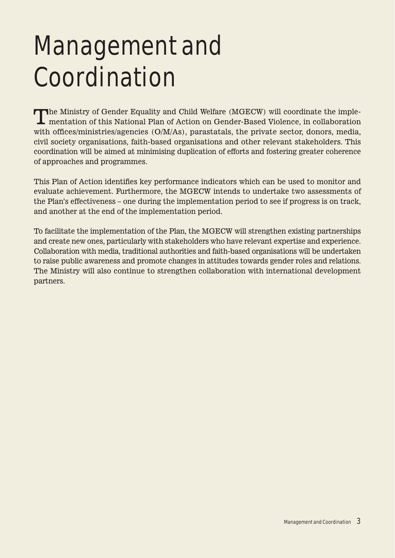# Management and Coordination

The Ministry of Gender Equality and Child Welfare (MGECW) will coordinate the implementation of this National Plan of Action on Gender-Based Violence, in collaboration with offices/ministries/agencies (O/M/As), parastatals, the private sector, donors, media, civil society organisations, faith-based organisations and other relevant stakeholders. This coordination will be aimed at minimising duplication of efforts and fostering greater coherence of approaches and programmes.

This Plan of Action identifies key performance indicators which can be used to monitor and evaluate achievement. Furthermore, the MGECW intends to undertake two assessments of the Plan's effectiveness – one during the implementation period to see if progress is on track, and another at the end of the implementation period.

To facilitate the implementation of the Plan, the MGECW will strengthen existing partnerships and create new ones, particularly with stakeholders who have relevant expertise and experience. Collaboration with media, traditional authorities and faith-based organisations will be undertaken to raise public awareness and promote changes in attitudes towards gender roles and relations. The Ministry will also continue to strengthen collaboration with international development partners.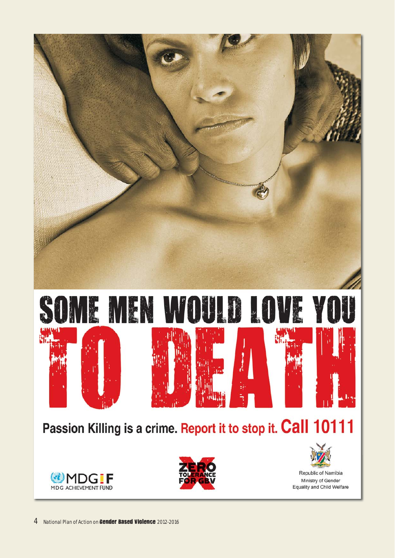





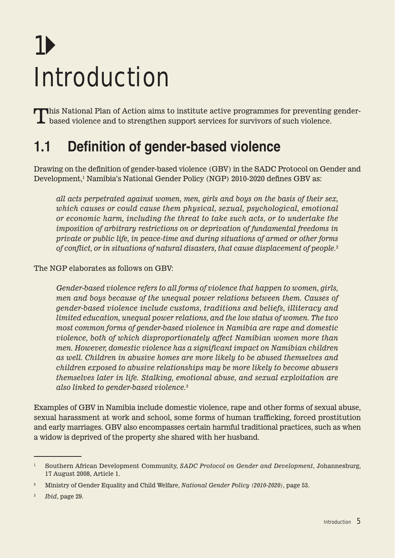# 1 Introduction

This National Plan of Action aims to institute active programmes for preventing gender-**L** based violence and to strengthen support services for survivors of such violence.

## **1.1 Definition of gender-based violence**

Drawing on the definition of gender-based violence (GBV) in the SADC Protocol on Gender and Development, <sup>1</sup> Namibia's National Gender Policy (NGP) 2010-2020 defines GBV as:

*all acts perpetrated against women, men, girls and boys on the basis of their sex, which causes or could cause them physical, sexual, psychological, emotional or economic harm, including the threat to take such acts, or to undertake the imposition of arbitrary restrictions on or deprivation of fundamental freedoms in private or public life, in peace-time and during situations of armed or other forms of conflict, or in situations of natural disasters, that cause displacement of people.*<sup>2</sup>

The NGP elaborates as follows on GBV:

*Gender-based violence refers to all forms of violence that happen to women, girls, men and boys because of the unequal power relations between them. Causes of gender-based violence include customs, traditions and beliefs, illiteracy and limited education, unequal power relations, and the low status of women. The two most common forms of gender-based violence in Namibia are rape and domestic violence, both of which disproportionately affect Namibian women more than men. However, domestic violence has a significant impact on Namibian children as well. Children in abusive homes are more likely to be abused themselves and children exposed to abusive relationships may be more likely to become abusers themselves later in life. Stalking, emotional abuse, and sexual exploitation are also linked to gender-based violence.*<sup>3</sup>

Examples of GBV in Namibia include domestic violence, rape and other forms of sexual abuse, sexual harassment at work and school, some forms of human trafficking, forced prostitution and early marriages. GBV also encompasses certain harmful traditional practices, such as when a widow is deprived of the property she shared with her husband.

<sup>1</sup> Southern African Development Community, *SADC Protocol on Gender and Development*, Johannesburg, 17 August 2008, Article 1.

<sup>2</sup> Ministry of Gender Equality and Child Welfare, *National Gender Policy (2010-2020)*, page 53.

<sup>3</sup> *Ibid*, page 29.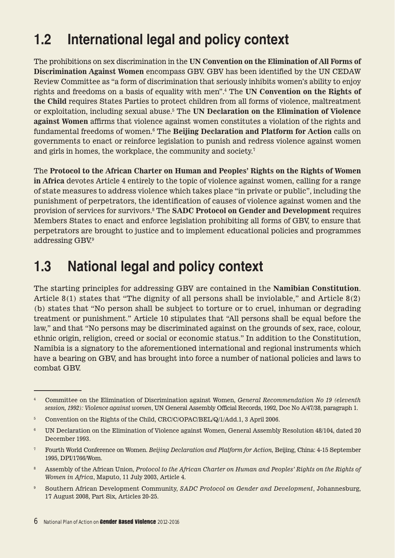## **1.2 International legal and policy context**

The prohibitions on sex discrimination in the **UN Convention on the Elimination of All Forms of Discrimination Against Women** encompass GBV. GBV has been identified by the UN CEDAW Review Committee as "a form of discrimination that seriously inhibits women's ability to enjoy rights and freedoms on a basis of equality with men".4 The **UN Convention on the Rights of the Child** requires States Parties to protect children from all forms of violence, maltreatment or exploitation, including sexual abuse.5 The **UN Declaration on the Elimination of Violence against Women** affirms that violence against women constitutes a violation of the rights and fundamental freedoms of women.6 The **Beijing Declaration and Platform for Action** calls on governments to enact or reinforce legislation to punish and redress violence against women and girls in homes, the workplace, the community and society.<sup>7</sup>

The **Protocol to the African Charter on Human and Peoples' Rights on the Rights of Women in Africa** devotes Article 4 entirely to the topic of violence against women, calling for a range of state measures to address violence which takes place "in private or public", including the punishment of perpetrators, the identification of causes of violence against women and the provision of services for survivors.8 The **SADC Protocol on Gender and Development** requires Members States to enact and enforce legislation prohibiting all forms of GBV, to ensure that perpetrators are brought to justice and to implement educational policies and programmes addressing GBV.9

## **1.3 National legal and policy context**

The starting principles for addressing GBV are contained in the **Namibian Constitution**. Article 8(1) states that "The dignity of all persons shall be inviolable," and Article 8(2) (b) states that "No person shall be subject to torture or to cruel, inhuman or degrading treatment or punishment." Article 10 stipulates that "All persons shall be equal before the law," and that "No persons may be discriminated against on the grounds of sex, race, colour, ethnic origin, religion, creed or social or economic status." In addition to the Constitution, Namibia is a signatory to the aforementioned international and regional instruments which have a bearing on GBV, and has brought into force a number of national policies and laws to combat GBV.

- 8 Assembly of the African Union, *Protocol to the African Charter on Human and Peoples' Rights on the Rights of Women in Africa*, Maputo, 11 July 2003, Article 4.
- <sup>9</sup> Southern African Development Community, *SADC Protocol on Gender and Development*, Johannesburg, 17 August 2008, Part Six, Articles 20-25.

<sup>4</sup> Committee on the Elimination of Discrimination against Women, *General Recommendation No 19 (eleventh session, 1992): Violence against women*, UN General Assembly Official Records, 1992, Doc No A/47/38, paragraph 1.

<sup>5</sup> Convention on the Rights of the Child, CRC/C/OPAC/BEL/Q/1/Add.1, 3 April 2006.

<sup>6</sup> UN Declaration on the Elimination of Violence against Women, General Assembly Resolution 48/104, dated 20 December 1993.

<sup>7</sup> Fourth World Conference on Women. *Beijing Declaration and Platform for Action,* Beijing, China: 4-15 September 1995, DPI/1766/Wom.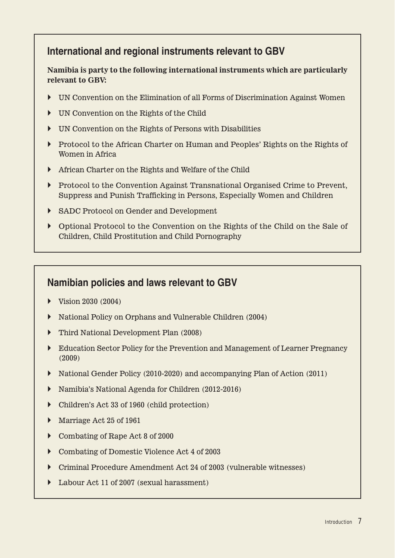#### **International and regional instruments relevant to GBV**

#### **Namibia is party to the following international instruments which are particularly relevant to GBV:**

- UN Convention on the Elimination of all Forms of Discrimination Against Women
- UN Convention on the Rights of the Child
- UN Convention on the Rights of Persons with Disabilities
- Protocol to the African Charter on Human and Peoples' Rights on the Rights of Women in Africa
- African Charter on the Rights and Welfare of the Child
- Protocol to the Convention Against Transnational Organised Crime to Prevent, Suppress and Punish Trafficking in Persons, Especially Women and Children
- SADC Protocol on Gender and Development
- Optional Protocol to the Convention on the Rights of the Child on the Sale of Children, Child Prostitution and Child Pornography

#### **Namibian policies and laws relevant to GBV**

- $\triangleright$  Vision 2030 (2004)
- National Policy on Orphans and Vulnerable Children (2004)
- Third National Development Plan (2008)
- Education Sector Policy for the Prevention and Management of Learner Pregnancy (2009)
- National Gender Policy (2010-2020) and accompanying Plan of Action (2011)
- Namibia's National Agenda for Children (2012-2016)
- Children's Act 33 of 1960 (child protection)
- Marriage Act 25 of 1961
- ▶ Combating of Rape Act 8 of 2000
- Combating of Domestic Violence Act 4 of 2003
- Criminal Procedure Amendment Act 24 of 2003 (vulnerable witnesses)
- ▶ Labour Act 11 of 2007 (sexual harassment)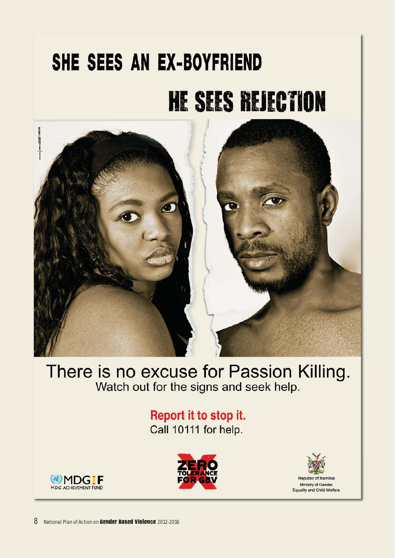# SHE SEES AN EX-BOYFRIEND **HE SEES REJECTION**



# There is no excuse for Passion Killing.<br>Watch out for the signs and seek help.

#### Report it to stop it. Call 10111 for help.





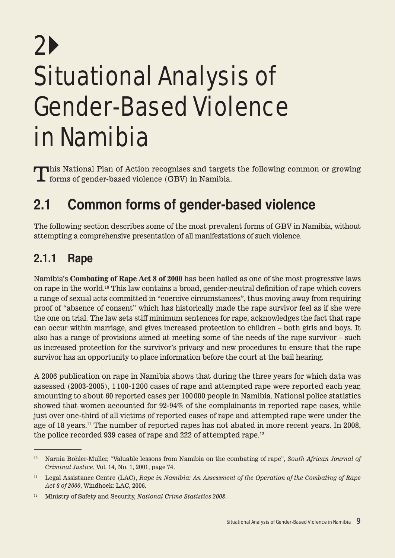# 2 Situational Analysis of Gender-Based Violence in Namibia

This National Plan of Action recognises and targets the following common or growing  $\mathsf{\mathsf{L}}$  forms of gender-based violence (GBV) in Namibia.

## **2.1 Common forms of gender-based violence**

The following section describes some of the most prevalent forms of GBV in Namibia, without attempting a comprehensive presentation of all manifestations of such violence.

### **2.1.1 Rape**

Namibia's **Combating of Rape Act 8 of 2000** has been hailed as one of the most progressive laws on rape in the world.10 This law contains a broad, gender-neutral definition of rape which covers a range of sexual acts committed in "coercive circumstances", thus moving away from requiring proof of "absence of consent" which has historically made the rape survivor feel as if she were the one on trial. The law sets stiff minimum sentences for rape, acknowledges the fact that rape can occur within marriage, and gives increased protection to children – both girls and boys. It also has a range of provisions aimed at meeting some of the needs of the rape survivor – such as increased protection for the survivor's privacy and new procedures to ensure that the rape survivor has an opportunity to place information before the court at the bail hearing.

A 2006 publication on rape in Namibia shows that during the three years for which data was assessed (2003-2005), 1 100-1 200 cases of rape and attempted rape were reported each year, amounting to about 60 reported cases per 100 000 people in Namibia. National police statistics showed that women accounted for 92-94% of the complainants in reported rape cases, while just over one-third of all victims of reported cases of rape and attempted rape were under the age of 18 years.<sup>11</sup> The number of reported rapes has not abated in more recent years. In 2008, the police recorded 939 cases of rape and 222 of attempted rape.12

<sup>10</sup> Narnia Bohler-Muller, "Valuable lessons from Namibia on the combating of rape", *South African Journal of Criminal Justice*, Vol. 14, No. 1, 2001, page 74.

<sup>11</sup> Legal Assistance Centre (LAC), *Rape in Namibia: An Assessment of the Operation of the Combating of Rape Act 8 of 2000*, Windhoek: LAC, 2006.

<sup>12</sup> Ministry of Safety and Security, *National Crime Statistics 2008*.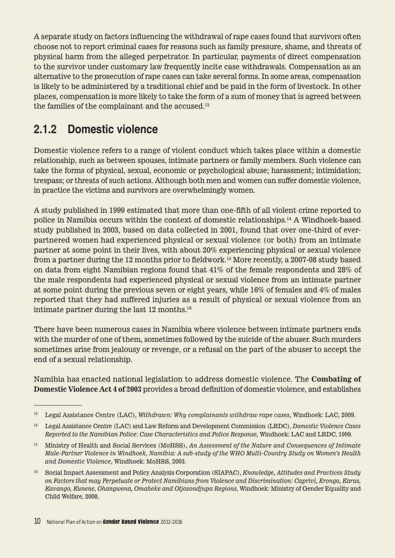A separate study on factors influencing the withdrawal of rape cases found that survivors often choose not to report criminal cases for reasons such as family pressure, shame, and threats of physical harm from the alleged perpetrator. In particular, payments of direct compensation to the survivor under customary law frequently incite case withdrawals. Compensation as an alternative to the prosecution of rape cases can take several forms. In some areas, compensation is likely to be administered by a traditional chief and be paid in the form of livestock. In other places, compensation is more likely to take the form of a sum of money that is agreed between the families of the complainant and the accused.<sup>13</sup>

### **2.1.2 Domestic violence**

Domestic violence refers to a range of violent conduct which takes place within a domestic relationship, such as between spouses, intimate partners or family members. Such violence can take the forms of physical, sexual, economic or psychological abuse; harassment; intimidation; trespass; or threats of such actions. Although both men and women can suffer domestic violence, in practice the victims and survivors are overwhelmingly women.

A study published in 1999 estimated that more than one-fifth of all violent crime reported to police in Namibia occurs within the context of domestic relationships.14 A Windhoek-based study published in 2003, based on data collected in 2001, found that over one-third of everpartnered women had experienced physical or sexual violence (or both) from an intimate partner at some point in their lives, with about 20% experiencing physical or sexual violence from a partner during the 12 months prior to fieldwork.15 More recently, a 2007-08 study based on data from eight Namibian regions found that 41% of the female respondents and 28% of the male respondents had experienced physical or sexual violence from an intimate partner at some point during the previous seven or eight years, while 16% of females and 4% of males reported that they had suffered injuries as a result of physical or sexual violence from an intimate partner during the last 12 months.16

There have been numerous cases in Namibia where violence between intimate partners ends with the murder of one of them, sometimes followed by the suicide of the abuser. Such murders sometimes arise from jealousy or revenge, or a refusal on the part of the abuser to accept the end of a sexual relationship.

Namibia has enacted national legislation to address domestic violence. The **Combating of Domestic Violence Act 4 of 2003** provides a broad definition of domestic violence, and establishes

<sup>13</sup> Legal Assistance Centre (LAC), *Withdrawn: Why complainants withdraw rape cases,* Windhoek: LAC, 2009.

<sup>14</sup> Legal Assistance Centre (LAC) and Law Reform and Development Commission (LRDC), *Domestic Violence Cases Reported to the Namibian Police: Case Characteristics and Police Response,* Windhoek: LAC and LRDC, 1999.

<sup>15</sup> Ministry of Health and Social Services (MoHSS), *An Assessment of the Nature and Consequences of Intimate Male-Partner Violence in Windhoek, Namibia: A sub-study of the WHO Multi-Country Study on Women's Health and Domestic Violence*, Windhoek: MoHSS, 2003.

<sup>16</sup> Social Impact Assessment and Policy Analysis Corporation (SIAPAC), *Knowledge, Attitudes and Practices Study on Factors that may Perpetuate or Protect Namibians from Violence and Discrimination: Caprivi, Erongo, Karas, Kavango, Kunene, Ohangwena, Omaheke and Otjozondjupa Regions*, Windhoek: Ministry of Gender Equality and Child Welfare, 2008.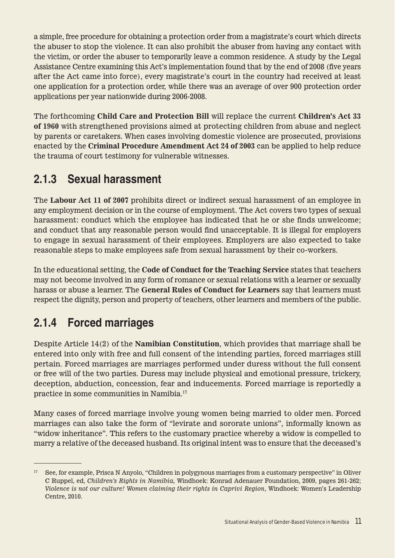a simple, free procedure for obtaining a protection order from a magistrate's court which directs the abuser to stop the violence. It can also prohibit the abuser from having any contact with the victim, or order the abuser to temporarily leave a common residence. A study by the Legal Assistance Centre examining this Act's implementation found that by the end of 2008 (five years after the Act came into force), every magistrate's court in the country had received at least one application for a protection order, while there was an average of over 900 protection order applications per year nationwide during 2006-2008.

The forthcoming **Child Care and Protection Bill** will replace the current **Children's Act 33 of 1960** with strengthened provisions aimed at protecting children from abuse and neglect by parents or caretakers. When cases involving domestic violence are prosecuted, provisions enacted by the **Criminal Procedure Amendment Act 24 of 2003** can be applied to help reduce the trauma of court testimony for vulnerable witnesses.

### **2.1.3 Sexual harassment**

The **Labour Act 11 of 2007** prohibits direct or indirect sexual harassment of an employee in any employment decision or in the course of employment. The Act covers two types of sexual harassment: conduct which the employee has indicated that he or she finds unwelcome; and conduct that any reasonable person would find unacceptable. It is illegal for employers to engage in sexual harassment of their employees. Employers are also expected to take reasonable steps to make employees safe from sexual harassment by their co-workers.

In the educational setting, the **Code of Conduct for the Teaching Service** states that teachers may not become involved in any form of romance or sexual relations with a learner or sexually harass or abuse a learner. The **General Rules of Conduct for Learners** say that learners must respect the dignity, person and property of teachers, other learners and members of the public.

## **2.1.4 Forced marriages**

Despite Article 14(2) of the **Namibian Constitution**, which provides that marriage shall be entered into only with free and full consent of the intending parties, forced marriages still pertain. Forced marriages are marriages performed under duress without the full consent or free will of the two parties. Duress may include physical and emotional pressure, trickery, deception, abduction, concession, fear and inducements. Forced marriage is reportedly a practice in some communities in Namibia.17

Many cases of forced marriage involve young women being married to older men. Forced marriages can also take the form of "levirate and sororate unions", informally known as "widow inheritance". This refers to the customary practice whereby a widow is compelled to marry a relative of the deceased husband. Its original intent was to ensure that the deceased's

<sup>17</sup> See, for example, Prisca N Anyolo, "Children in polygynous marriages from a customary perspective" in Oliver C Ruppel, ed, *Children's Rights in Namibia,* Windhoek: Konrad Adenauer Foundation, 2009, pages 261-262; *Violence is not our culture! Women claiming their rights in Caprivi Region*, Windhoek: Women's Leadership Centre, 2010.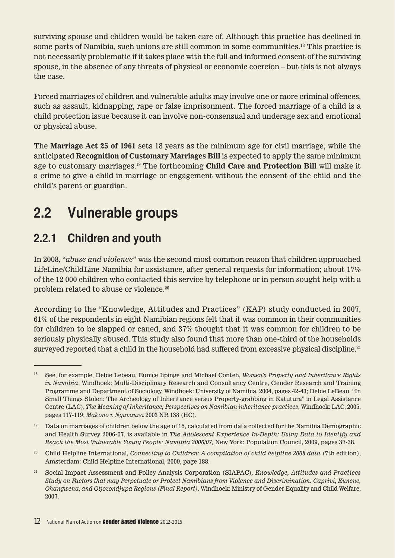surviving spouse and children would be taken care of. Although this practice has declined in some parts of Namibia, such unions are still common in some communities.18 This practice is not necessarily problematic if it takes place with the full and informed consent of the surviving spouse, in the absence of any threats of physical or economic coercion – but this is not always the case.

Forced marriages of children and vulnerable adults may involve one or more criminal offences, such as assault, kidnapping, rape or false imprisonment. The forced marriage of a child is a child protection issue because it can involve non-consensual and underage sex and emotional or physical abuse.

The **Marriage Act 25 of 1961** sets 18 years as the minimum age for civil marriage, while the anticipated **Recognition of Customary Marriages Bill** is expected to apply the same minimum age to customary marriages.19 The forthcoming **Child Care and Protection Bill** will make it a crime to give a child in marriage or engagement without the consent of the child and the child's parent or guardian.

## **2.2 Vulnerable groups**

### **2.2.1 Children and youth**

In 2008, "*abuse and violence*" was the second most common reason that children approached LifeLine/ChildLine Namibia for assistance, after general requests for information; about 17% of the 12 000 children who contacted this service by telephone or in person sought help with a problem related to abuse or violence.20

According to the "Knowledge, Attitudes and Practices" (KAP) study conducted in 2007, 61% of the respondents in eight Namibian regions felt that it was common in their communities for children to be slapped or caned, and 37% thought that it was common for children to be seriously physically abused. This study also found that more than one-third of the households surveyed reported that a child in the household had suffered from excessive physical discipline.<sup>21</sup>

<sup>18</sup> See, for example, Debie Lebeau, Eunice Iipinge and Michael Conteh, *Women's Property and Inheritance Rights in Namibia*, Windhoek: Multi-Disciplinary Research and Consultancy Centre, Gender Research and Training Programme and Department of Sociology, Windhoek: University of Namibia, 2004, pages 42-43; Debie LeBeau, "In Small Things Stolen: The Archeology of Inheritance versus Property-grabbing in Katutura" in Legal Assistance Centre (LAC), *The Meaning of Inheritance; Perspectives on Namibian inheritance practices*, Windhoek: LAC, 2005, pages 117-119; *Makono v Nguvauva* 2003 NR 138 (HC).

<sup>&</sup>lt;sup>19</sup> Data on marriages of children below the age of 15, calculated from data collected for the Namibia Demographic and Health Survey 2006-07, is available in *The Adolescent Experience In-Depth: Using Data to Identify and Reach the Most Vulnerable Young People: Namibia 2006/07,* New York: Population Council, 2009, pages 37-38.

<sup>20</sup> Child Helpline International, *Connecting to Children: A compilation of child helpline 2008 data* (7th edition), Amsterdam: Child Helpline International, 2009, page 188.

<sup>21</sup> Social Impact Assessment and Policy Analysis Corporation (SIAPAC)*, Knowledge, Attitudes and Practices Study on Factors that may Perpetuate or Protect Namibians from Violence and Discrimination: Caprivi, Kunene, Ohangwena, and Otjozondjupa Regions (Final Report),* Windhoek: Ministry of Gender Equality and Child Welfare, 2007.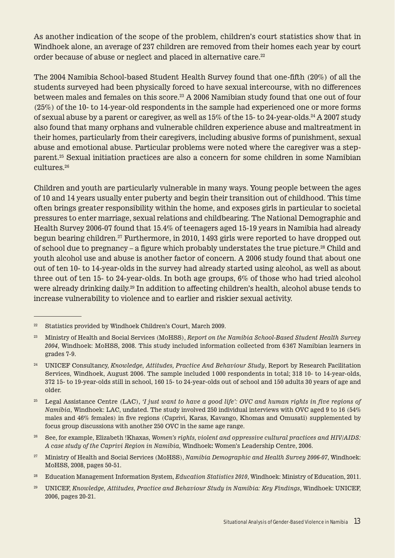As another indication of the scope of the problem, children's court statistics show that in Windhoek alone, an average of 237 children are removed from their homes each year by court order because of abuse or neglect and placed in alternative care.<sup>22</sup>

The 2004 Namibia School-based Student Health Survey found that one-fifth (20%) of all the students surveyed had been physically forced to have sexual intercourse, with no differences between males and females on this score.<sup>23</sup> A 2006 Namibian study found that one out of four (25%) of the 10- to 14-year-old respondents in the sample had experienced one or more forms of sexual abuse by a parent or caregiver, as well as 15% of the 15- to 24-year-olds.24 A 2007 study also found that many orphans and vulnerable children experience abuse and maltreatment in their homes, particularly from their caregivers, including abusive forms of punishment, sexual abuse and emotional abuse. Particular problems were noted where the caregiver was a stepparent.25 Sexual initiation practices are also a concern for some children in some Namibian cultures.26

Children and youth are particularly vulnerable in many ways. Young people between the ages of 10 and 14 years usually enter puberty and begin their transition out of childhood. This time often brings greater responsibility within the home, and exposes girls in particular to societal pressures to enter marriage, sexual relations and childbearing. The National Demographic and Health Survey 2006-07 found that 15.4% of teenagers aged 15-19 years in Namibia had already begun bearing children.27 Furthermore, in 2010, 1 493 girls were reported to have dropped out of school due to pregnancy – a figure which probably understates the true picture.28 Child and youth alcohol use and abuse is another factor of concern. A 2006 study found that about one out of ten 10- to 14-year-olds in the survey had already started using alcohol, as well as about three out of ten 15- to 24-year-olds. In both age groups, 6% of those who had tried alcohol were already drinking daily.<sup>29</sup> In addition to affecting children's health, alcohol abuse tends to increase vulnerability to violence and to earlier and riskier sexual activity.

- <sup>27</sup> Ministry of Health and Social Services (MoHSS), *Namibia Demographic and Health Survey 2006-07*, Windhoek: MoHSS, 2008, pages 50-51.
- <sup>28</sup> Education Management Information System, *Education Statistics 2010*, Windhoek: Ministry of Education, 2011.
- 29 UNICEF, *Knowledge, Attitudes, Practice and Behaviour Study in Namibia: Key Findings*, Windhoek: UNICEF, 2006, pages 20-21.

<sup>22</sup> Statistics provided by Windhoek Children's Court, March 2009.

<sup>23</sup> Ministry of Health and Social Services (MoHSS), *Report on the Namibia School-Based Student Health Survey 2004*, Windhoek: MoHSS, 2008. This study included information collected from 6 367 Namibian learners in grades 7-9.

<sup>24</sup> UNICEF Consultancy, *Knowledge, Attitudes, Practice And Behaviour Study*, Report by Research Facilitation Services, Windhoek, August 2006. The sample included 1 000 respondents in total; 318 10- to 14-year-olds, 372 15- to 19-year-olds still in school, 160 15- to 24-year-olds out of school and 150 adults 30 years of age and older.

<sup>25</sup> Legal Assistance Centre (LAC), *'I just want to have a good life': OVC and human rights in five regions of Namibia*, Windhoek: LAC, undated. The study involved 250 individual interviews with OVC aged 9 to 16 (54% males and 46% females) in five regions (Caprivi, Karas, Kavango, Khomas and Omusati) supplemented by focus group discussions with another 250 OVC in the same age range.

<sup>26</sup> See, for example, Elizabeth !Khaxas, *Women's rights, violent and oppressive cultural practices and HIV/AIDS: A case study of the Caprivi Region in Namibia,* Windhoek**:** Women's Leadership Centre, 2006.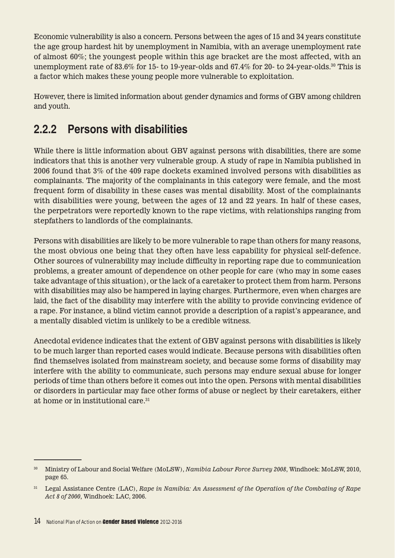Economic vulnerability is also a concern. Persons between the ages of 15 and 34 years constitute the age group hardest hit by unemployment in Namibia, with an average unemployment rate of almost 60%; the youngest people within this age bracket are the most affected, with an unemployment rate of 83.6% for 15- to 19-year-olds and 67.4% for 20- to 24-year-olds.30 This is a factor which makes these young people more vulnerable to exploitation.

However, there is limited information about gender dynamics and forms of GBV among children and youth.

### **2.2.2 Persons with disabilities**

While there is little information about GBV against persons with disabilities, there are some indicators that this is another very vulnerable group. A study of rape in Namibia published in 2006 found that 3% of the 409 rape dockets examined involved persons with disabilities as complainants. The majority of the complainants in this category were female, and the most frequent form of disability in these cases was mental disability. Most of the complainants with disabilities were young, between the ages of 12 and 22 years. In half of these cases, the perpetrators were reportedly known to the rape victims, with relationships ranging from stepfathers to landlords of the complainants.

Persons with disabilities are likely to be more vulnerable to rape than others for many reasons, the most obvious one being that they often have less capability for physical self-defence. Other sources of vulnerability may include difficulty in reporting rape due to communication problems, a greater amount of dependence on other people for care (who may in some cases take advantage of this situation), or the lack of a caretaker to protect them from harm. Persons with disabilities may also be hampered in laying charges. Furthermore, even when charges are laid, the fact of the disability may interfere with the ability to provide convincing evidence of a rape. For instance, a blind victim cannot provide a description of a rapist's appearance, and a mentally disabled victim is unlikely to be a credible witness.

Anecdotal evidence indicates that the extent of GBV against persons with disabilities is likely to be much larger than reported cases would indicate. Because persons with disabilities often find themselves isolated from mainstream society, and because some forms of disability may interfere with the ability to communicate, such persons may endure sexual abuse for longer periods of time than others before it comes out into the open. Persons with mental disabilities or disorders in particular may face other forms of abuse or neglect by their caretakers, either at home or in institutional care.31

<sup>30</sup> Ministry of Labour and Social Welfare (MoLSW), *Namibia Labour Force Survey 2008*, Windhoek: MoLSW, 2010, page 65.

<sup>31</sup> Legal Assistance Centre (LAC), *Rape in Namibia: An Assessment of the Operation of the Combating of Rape Act 8 of 2000*, Windhoek: LAC, 2006.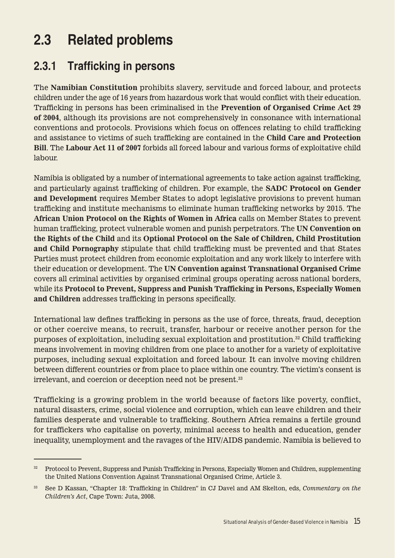## **2.3 Related problems**

#### **2.3.1 Trafficking in persons**

The **Namibian Constitution** prohibits slavery, servitude and forced labour, and protects children under the age of 16 years from hazardous work that would conflict with their education. Trafficking in persons has been criminalised in the **Prevention of Organised Crime Act 29 of 2004**, although its provisions are not comprehensively in consonance with international conventions and protocols. Provisions which focus on offences relating to child trafficking and assistance to victims of such trafficking are contained in the **Child Care and Protection Bill**. The **Labour Act 11 of 2007** forbids all forced labour and various forms of exploitative child labour.

Namibia is obligated by a number of international agreements to take action against trafficking, and particularly against trafficking of children. For example, the **SADC Protocol on Gender and Development** requires Member States to adopt legislative provisions to prevent human trafficking and institute mechanisms to eliminate human trafficking networks by 2015. The **African Union Protocol on the Rights of Women in Africa** calls on Member States to prevent human trafficking, protect vulnerable women and punish perpetrators. The **UN Convention on the Rights of the Child** and its **Optional Protocol on the Sale of Children, Child Prostitution and Child Pornography** stipulate that child trafficking must be prevented and that States Parties must protect children from economic exploitation and any work likely to interfere with their education or development. The **UN Convention against Transnational Organised Crime**  covers all criminal activities by organised criminal groups operating across national borders, while its **Protocol to Prevent, Suppress and Punish Trafficking in Persons, Especially Women and Children** addresses trafficking in persons specifically.

International law defines trafficking in persons as the use of force, threats, fraud, deception or other coercive means, to recruit, transfer, harbour or receive another person for the purposes of exploitation, including sexual exploitation and prostitution.32 Child trafficking means involvement in moving children from one place to another for a variety of exploitative purposes, including sexual exploitation and forced labour. It can involve moving children between different countries or from place to place within one country. The victim's consent is irrelevant, and coercion or deception need not be present.<sup>33</sup>

Trafficking is a growing problem in the world because of factors like poverty, conflict, natural disasters, crime, social violence and corruption, which can leave children and their families desperate and vulnerable to trafficking. Southern Africa remains a fertile ground for traffickers who capitalise on poverty, minimal access to health and education, gender inequality, unemployment and the ravages of the HIV/AIDS pandemic. Namibia is believed to

<sup>32</sup> Protocol to Prevent, Suppress and Punish Trafficking in Persons, Especially Women and Children, supplementing the United Nations Convention Against Transnational Organised Crime, Article 3.

<sup>33</sup> See D Kassan, "Chapter 18: Trafficking in Children" in CJ Davel and AM Skelton, eds, *Commentary on the Children's Act*, Cape Town: Juta, 2008.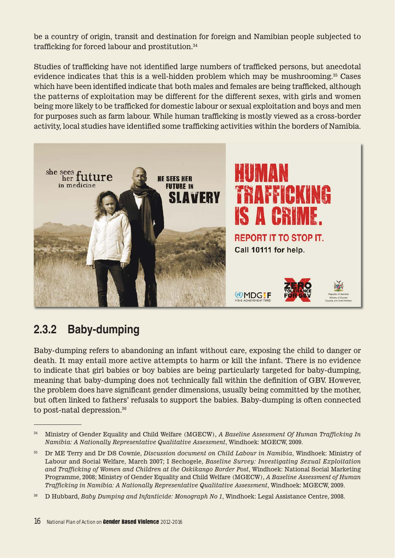be a country of origin, transit and destination for foreign and Namibian people subjected to trafficking for forced labour and prostitution.34

Studies of trafficking have not identified large numbers of trafficked persons, but anecdotal evidence indicates that this is a well-hidden problem which may be mushrooming.35 Cases which have been identified indicate that both males and females are being trafficked, although the patterns of exploitation may be different for the different sexes, with girls and women being more likely to be trafficked for domestic labour or sexual exploitation and boys and men for purposes such as farm labour. While human trafficking is mostly viewed as a cross-border activity, local studies have identified some trafficking activities within the borders of Namibia.



#### **2.3.2 Baby-dumping**

Baby-dumping refers to abandoning an infant without care, exposing the child to danger or death. It may entail more active attempts to harm or kill the infant. There is no evidence to indicate that girl babies or boy babies are being particularly targeted for baby-dumping, meaning that baby-dumping does not technically fall within the definition of GBV. However, the problem does have significant gender dimensions, usually being committed by the mother, but often linked to fathers' refusals to support the babies. Baby-dumping is often connected to post-natal depression.36

<sup>34</sup> Ministry of Gender Equality and Child Welfare (MGECW), *A Baseline Assessment Of Human Trafficking In Namibia: A Nationally Representative Qualitative Assessment*, Windhoek: MGECW, 2009.

<sup>35</sup> Dr ME Terry and Dr DS Cownie, *Discussion document on Child Labour in Namibia*, Windhoek: Ministry of Labour and Social Welfare, March 2007; I Sechogele, *Baseline Survey: Investigating Sexual Exploitation and Trafficking of Women and Children at the Oskikango Border Post*, Windhoek: National Social Marketing Programme, 2008; Ministry of Gender Equality and Child Welfare (MGECW), *A Baseline Assessment of Human Trafficking in Namibia: A Nationally Representative Qualitative Assessment*, Windhoek: MGECW, 2009.

<sup>36</sup> D Hubbard, *Baby Dumping and Infanticide: Monograph No 1*, Windhoek: Legal Assistance Centre, 2008.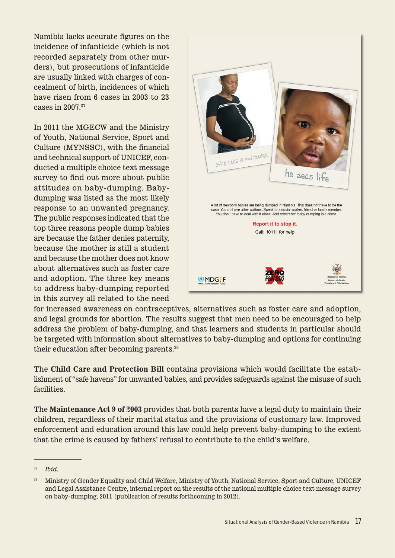Namibia lacks accurate figures on the incidence of infanticide (which is not recorded separately from other murders), but prosecutions of infanticide are usually linked with charges of concealment of birth, incidences of which have risen from 6 cases in 2003 to 23 cases in 2007.37

In 2011 the MGECW and the Ministry of Youth, National Service, Sport and Culture (MYNSSC), with the financial and technical support of UNICEF, conducted a multiple choice text message survey to find out more about public attitudes on baby-dumping. Babydumping was listed as the most likely response to an unwanted pregnancy. The public responses indicated that the top three reasons people dump babies are because the father denies paternity, because the mother is still a student and because the mother does not know about alternatives such as foster care and adoption. The three key means to address baby-dumping reported in this survey all related to the need



for increased awareness on contraceptives, alternatives such as foster care and adoption, and legal grounds for abortion. The results suggest that men need to be encouraged to help address the problem of baby-dumping, and that learners and students in particular should be targeted with information about alternatives to baby-dumping and options for continuing their education after becoming parents.38

The **Child Care and Protection Bill** contains provisions which would facilitate the establishment of "safe havens" for unwanted babies, and provides safeguards against the misuse of such facilities.

The **Maintenance Act 9 of 2003** provides that both parents have a legal duty to maintain their children, regardless of their marital status and the provisions of customary law. Improved enforcement and education around this law could help prevent baby-dumping to the extent that the crime is caused by fathers' refusal to contribute to the child's welfare.

<sup>37</sup> *Ibid.* 

<sup>38</sup> Ministry of Gender Equality and Child Welfare, Ministry of Youth, National Service, Sport and Culture, UNICEF and Legal Assistance Centre, internal report on the results of the national multiple choice text message survey on baby-dumping, 2011 (publication of results forthcoming in 2012).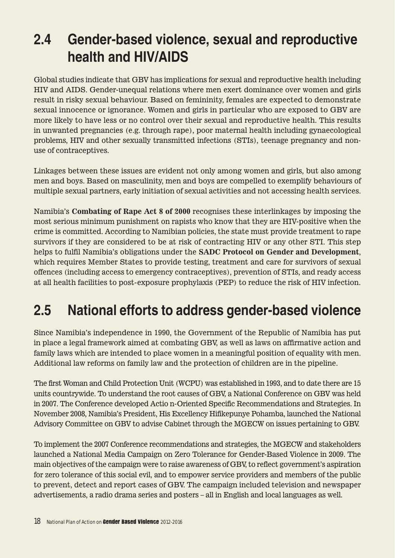## **2.4 Gender-based violence, sexual and reproductive health and HIV/AIDS**

Global studies indicate that GBV has implications for sexual and reproductive health including HIV and AIDS. Gender-unequal relations where men exert dominance over women and girls result in risky sexual behaviour. Based on femininity, females are expected to demonstrate sexual innocence or ignorance. Women and girls in particular who are exposed to GBV are more likely to have less or no control over their sexual and reproductive health. This results in unwanted pregnancies (e.g. through rape), poor maternal health including gynaecological problems, HIV and other sexually transmitted infections (STIs), teenage pregnancy and nonuse of contraceptives.

Linkages between these issues are evident not only among women and girls, but also among men and boys. Based on masculinity, men and boys are compelled to exemplify behaviours of multiple sexual partners, early initiation of sexual activities and not accessing health services.

Namibia's **Combating of Rape Act 8 of 2000** recognises these interlinkages by imposing the most serious minimum punishment on rapists who know that they are HIV-positive when the crime is committed. According to Namibian policies, the state must provide treatment to rape survivors if they are considered to be at risk of contracting HIV or any other STI. This step helps to fulfil Namibia's obligations under the **SADC Protocol on Gender and Development**, which requires Member States to provide testing, treatment and care for survivors of sexual offences (including access to emergency contraceptives), prevention of STIs, and ready access at all health facilities to post-exposure prophylaxis (PEP) to reduce the risk of HIV infection.

## **2.5 National efforts to address gender-based violence**

Since Namibia's independence in 1990, the Government of the Republic of Namibia has put in place a legal framework aimed at combating GBV, as well as laws on affirmative action and family laws which are intended to place women in a meaningful position of equality with men. Additional law reforms on family law and the protection of children are in the pipeline.

The first Woman and Child Protection Unit (WCPU) was established in 1993, and to date there are 15 units countrywide. To understand the root causes of GBV, a National Conference on GBV was held in 2007. The Conference developed Actio n-Oriented Specific Recommendations and Strategies. In November 2008, Namibia's President, His Excellency Hifikepunye Pohamba, launched the National Advisory Committee on GBV to advise Cabinet through the MGECW on issues pertaining to GBV.

To implement the 2007 Conference recommendations and strategies, the MGECW and stakeholders launched a National Media Campaign on Zero Tolerance for Gender-Based Violence in 2009. The main objectives of the campaign were to raise awareness of GBV, to reflect government's aspiration for zero tolerance of this social evil, and to empower service providers and members of the public to prevent, detect and report cases of GBV. The campaign included television and newspaper advertisements, a radio drama series and posters – all in English and local languages as well.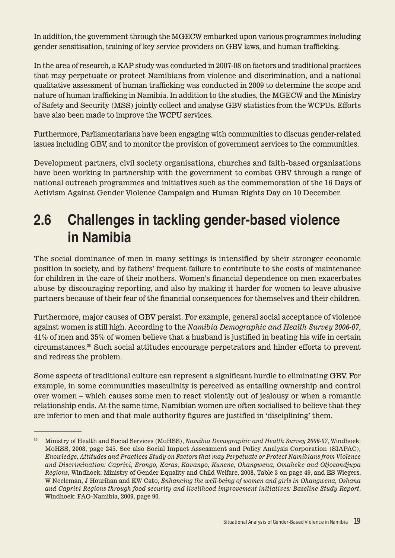In addition, the government through the MGECW embarked upon various programmes including gender sensitisation, training of key service providers on GBV laws, and human trafficking.

In the area of research, a KAP study was conducted in 2007-08 on factors and traditional practices that may perpetuate or protect Namibians from violence and discrimination, and a national qualitative assessment of human trafficking was conducted in 2009 to determine the scope and nature of human trafficking in Namibia. In addition to the studies, the MGECW and the Ministry of Safety and Security (MSS) jointly collect and analyse GBV statistics from the WCPUs. Efforts have also been made to improve the WCPU services.

Furthermore, Parliamentarians have been engaging with communities to discuss gender-related issues including GBV, and to monitor the provision of government services to the communities.

Development partners, civil society organisations, churches and faith-based organisations have been working in partnership with the government to combat GBV through a range of national outreach programmes and initiatives such as the commemoration of the 16 Days of Activism Against Gender Violence Campaign and Human Rights Day on 10 December.

## **2.6 Challenges in tackling gender-based violence in Namibia**

The social dominance of men in many settings is intensified by their stronger economic position in society, and by fathers' frequent failure to contribute to the costs of maintenance for children in the care of their mothers. Women's financial dependence on men exacerbates abuse by discouraging reporting, and also by making it harder for women to leave abusive partners because of their fear of the financial consequences for themselves and their children.

Furthermore, major causes of GBV persist. For example, general social acceptance of violence against women is still high. According to the *Namibia Demographic and Health Survey 2006-07*, 41% of men and 35% of women believe that a husband is justified in beating his wife in certain circumstances.39 Such social attitudes encourage perpetrators and hinder efforts to prevent and redress the problem.

Some aspects of traditional culture can represent a significant hurdle to eliminating GBV. For example, in some communities masculinity is perceived as entailing ownership and control over women – which causes some men to react violently out of jealousy or when a romantic relationship ends. At the same time, Namibian women are often socialised to believe that they are inferior to men and that male authority figures are justified in 'disciplining' them.

<sup>39</sup> Ministry of Health and Social Services (MoHSS), *Namibia Demographic and Health Survey 2006-07*, Windhoek: MoHSS, 2008, page 245. See also Social Impact Assessment and Policy Analysis Corporation (SIAPAC)*, Knowledge, Attitudes and Practices Study on Factors that may Perpetuate or Protect Namibians from Violence and Discrimination: Caprivi, Erongo, Karas, Kavango, Kunene, Ohangwena, Omaheke and Otjozondjupa Regions,* Windhoek: Ministry of Gender Equality and Child Welfare, 2008, Table 3 on page 49, and ES Wiegers, W Neeleman, J Hourihan and KW Cato, *Enhancing the well-being of women and girls in Ohangwena, Oshana and Caprivi Regions through food security and livelihood improvement initiatives: Baseline Study Report*, Windhoek: FAO-Namibia, 2009, page 90.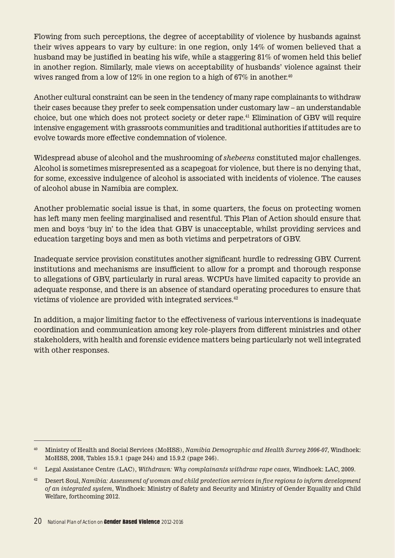Flowing from such perceptions, the degree of acceptability of violence by husbands against their wives appears to vary by culture: in one region, only 14% of women believed that a husband may be justified in beating his wife, while a staggering 81% of women held this belief in another region. Similarly, male views on acceptability of husbands' violence against their wives ranged from a low of 12% in one region to a high of 67% in another.<sup>40</sup>

Another cultural constraint can be seen in the tendency of many rape complainants to withdraw their cases because they prefer to seek compensation under customary law – an understandable choice, but one which does not protect society or deter rape.41 Elimination of GBV will require intensive engagement with grassroots communities and traditional authorities if attitudes are to evolve towards more effective condemnation of violence.

Widespread abuse of alcohol and the mushrooming of *shebeens* constituted major challenges. Alcohol is sometimes misrepresented as a scapegoat for violence, but there is no denying that, for some, excessive indulgence of alcohol is associated with incidents of violence. The causes of alcohol abuse in Namibia are complex.

Another problematic social issue is that, in some quarters, the focus on protecting women has left many men feeling marginalised and resentful. This Plan of Action should ensure that men and boys 'buy in' to the idea that GBV is unacceptable, whilst providing services and education targeting boys and men as both victims and perpetrators of GBV.

Inadequate service provision constitutes another significant hurdle to redressing GBV. Current institutions and mechanisms are insufficient to allow for a prompt and thorough response to allegations of GBV, particularly in rural areas. WCPUs have limited capacity to provide an adequate response, and there is an absence of standard operating procedures to ensure that victims of violence are provided with integrated services.<sup>42</sup>

In addition, a major limiting factor to the effectiveness of various interventions is inadequate coordination and communication among key role-players from different ministries and other stakeholders, with health and forensic evidence matters being particularly not well integrated with other responses.

<sup>40</sup> Ministry of Health and Social Services (MoHSS), *Namibia Demographic and Health Survey 2006-07*, Windhoek: MoHSS, 2008, Tables 15.9.1 (page 244) and 15.9.2 (page 246).

<sup>41</sup> Legal Assistance Centre (LAC), *Withdrawn: Why complainants withdraw rape cases,* Windhoek: LAC, 2009.

<sup>42</sup> Desert Soul, *Namibia: Assessment of woman and child protection services in five regions to inform development of an integrated system*, Windhoek: Ministry of Safety and Security and Ministry of Gender Equality and Child Welfare, forthcoming 2012.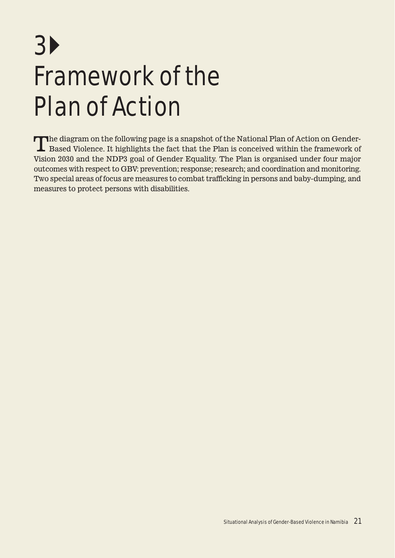# 3 Framework of the Plan of Action

The diagram on the following page is a snapshot of the National Plan of Action on Gender-<br>Based Violence. It highlights the fact that the Plan is conceived within the framework of Vision 2030 and the NDP3 goal of Gender Equality. The Plan is organised under four major outcomes with respect to GBV: prevention; response; research; and coordination and monitoring. Two special areas of focus are measures to combat trafficking in persons and baby-dumping, and measures to protect persons with disabilities.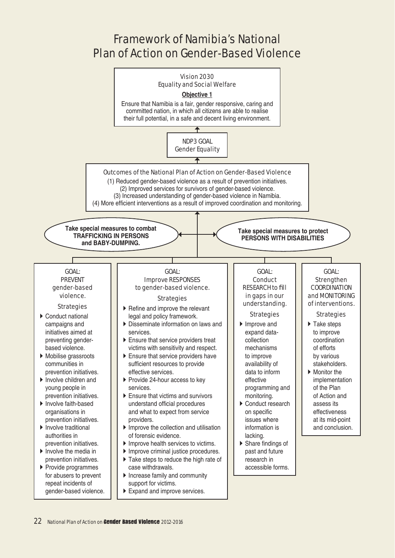#### Framework of Namibia's National Plan of Action on Gender-Based Violence

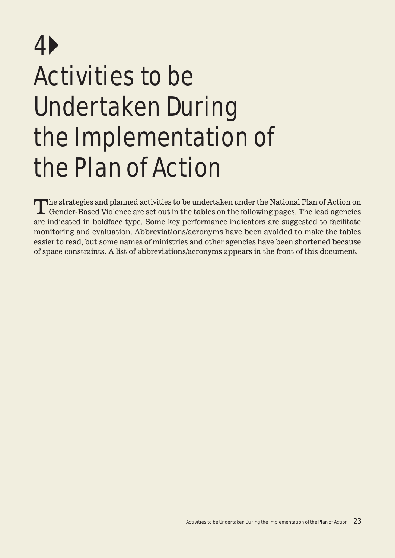# 4 Activities to be Undertaken During the Implementation of the Plan of Action

The strategies and planned activities to be undertaken under the National Plan of Action on Gender-Based Violence are set out in the tables on the following pages. The lead agencies are indicated in boldface type. Some key performance indicators are suggested to facilitate monitoring and evaluation. Abbreviations/acronyms have been avoided to make the tables easier to read, but some names of ministries and other agencies have been shortened because of space constraints. A list of abbreviations/acronyms appears in the front of this document.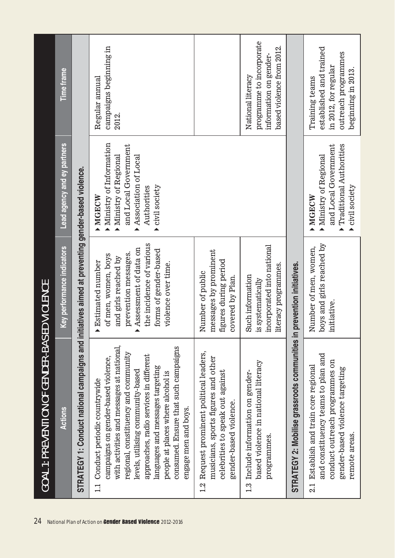| 24 | <b>GOAL 1: PREVENTION OF GENDER-BASE</b>                                                                                                                                                                                                                                                                                                                                                            | <b>D VIOLENCE</b>                                                                                                                                                                                        |                                                                                                                                                 |                                                                                                                |
|----|-----------------------------------------------------------------------------------------------------------------------------------------------------------------------------------------------------------------------------------------------------------------------------------------------------------------------------------------------------------------------------------------------------|----------------------------------------------------------------------------------------------------------------------------------------------------------------------------------------------------------|-------------------------------------------------------------------------------------------------------------------------------------------------|----------------------------------------------------------------------------------------------------------------|
|    | Actions                                                                                                                                                                                                                                                                                                                                                                                             | Key performance indicators                                                                                                                                                                               | Lead agency and ey partners                                                                                                                     | <b>Time frame</b>                                                                                              |
|    | STRATEGY 1: Conduct national campaigns and initiatives aimed at preventing gender-based violence.                                                                                                                                                                                                                                                                                                   |                                                                                                                                                                                                          |                                                                                                                                                 |                                                                                                                |
|    | with activities and messages at national,<br>consumed. Ensure that such campaigns<br>regional, constituency and community<br>approaches, radio services in different<br>campaigns on gender-based violence,<br>languages and messages targeting<br>levels, utilising community-based<br>people at places where alcohol is<br>Conduct periodic countrywide<br>engage men and boys.<br>$\frac{1}{11}$ | the incidence of various<br>Assessment of data on<br>forms of gender-based<br>prevention messages.<br>of men, women, boys<br>and girls reached by<br><b>Estimated number</b><br>violence over time.<br>▲ | Ministry of Information<br>and Local Government<br>Association of Local<br>Ministry of Regional<br>civil society<br>Authorities<br><b>MOECW</b> | campaigns beginning in<br>Regular annual<br>2012.                                                              |
|    | Request prominent political leaders,<br>musicians, sports figures and other<br>celebrities to speak out against<br>gender-based violence.<br>1.2                                                                                                                                                                                                                                                    | messages by prominent<br>figures during period<br>Number of public<br>covered by Plan.                                                                                                                   |                                                                                                                                                 |                                                                                                                |
|    | based violence in national literacy<br>Include information on gender-<br>programmes.<br>1.3                                                                                                                                                                                                                                                                                                         | incorporated into national<br>literacy programmes.<br>Such information<br>is systematically                                                                                                              |                                                                                                                                                 | programme to incorporate<br>based violence from 2012.<br>information on gender-<br>National literacy           |
|    | STRATEGY 2: Mobilise grassroots communities in                                                                                                                                                                                                                                                                                                                                                      | prevention initiatives.                                                                                                                                                                                  |                                                                                                                                                 |                                                                                                                |
|    | and constituency teams to plan and<br>conduct outreach programmes on<br>Establish and train core regional<br>gender-based violence targeting<br>remote areas.<br>2.1                                                                                                                                                                                                                                | boys and girls reached by<br>Number of men, women,<br>initiative.                                                                                                                                        | and Local Government<br>Traditional Authorities<br>Ministry of Regional<br>civil society<br>MORCW                                               | established and trained<br>outreach programmes<br>in 2012, for regular<br>beginning in 2013.<br>Training teams |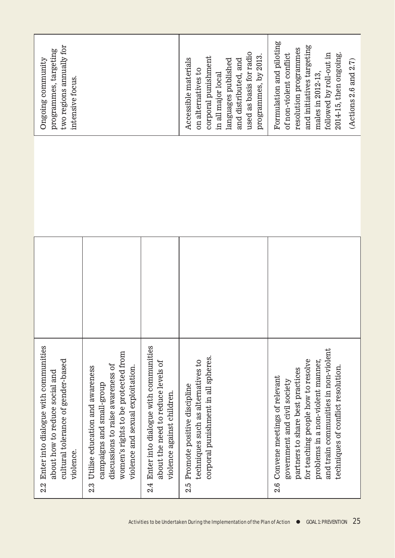| two regions annually for<br>programmes, targeting<br>Ongoing community<br>intensive focus.                                    |                                                                                                                                                                                             |                                                                                                                 | Accessible materials<br>on alternatives to                                       | corporal punishment<br>languages published<br>and distributed, and<br>in all major local | used as basis for radio<br>programmes, by 2013. | Formulation and piloting<br>and initiatives targeting<br>resolution programmes<br>followed by roll-out in<br>2014-15, then ongoing.<br>of non-violent conflict<br>(Actions 2.6 and 2.7)<br>males in 2012-13,                                                  |
|-------------------------------------------------------------------------------------------------------------------------------|---------------------------------------------------------------------------------------------------------------------------------------------------------------------------------------------|-----------------------------------------------------------------------------------------------------------------|----------------------------------------------------------------------------------|------------------------------------------------------------------------------------------|-------------------------------------------------|---------------------------------------------------------------------------------------------------------------------------------------------------------------------------------------------------------------------------------------------------------------|
|                                                                                                                               |                                                                                                                                                                                             |                                                                                                                 |                                                                                  |                                                                                          |                                                 |                                                                                                                                                                                                                                                               |
|                                                                                                                               |                                                                                                                                                                                             |                                                                                                                 |                                                                                  |                                                                                          |                                                 |                                                                                                                                                                                                                                                               |
| 2.2 Enter into dialogue with communities<br>cultural tolerance of gender-based<br>about how to reduce social and<br>violence. | women's rights to be protected from<br>discussions to raise awareness of<br>violence and sexual exploitation.<br>Utilise education and awareness<br>campaigns and small-group<br><u>ನೆ.</u> | Enter into dialogue with communities<br>about the need to reduce levels of<br>violence against children.<br>2.4 | techniques such as alternatives to<br>Promote positive discipline<br><u>จ.๋จ</u> | corporal punishment in all spheres.                                                      |                                                 | and train communities in non-violent<br>for teaching people how to resolve<br>problems in a non-violent manner,<br>techniques of conflict resolution.<br>partners to share best practices<br>2.6 Convene meetings of relevant<br>government and civil society |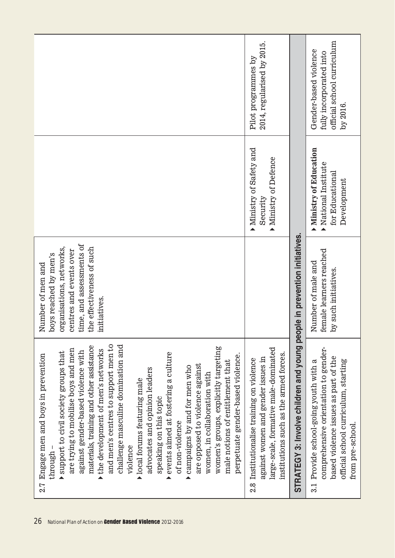|                                                                                                                                                                                                                                                                                                                                                                                                                                                                                                                                                                                                                                                                                                                                             | 2014, regularised by 2015.<br>Pilot programmes by                                                                                                                           |                                                                          | official school curriculum<br>Gender-based violence<br>fully incorporated into<br>by 2016.                                                                                                  |
|---------------------------------------------------------------------------------------------------------------------------------------------------------------------------------------------------------------------------------------------------------------------------------------------------------------------------------------------------------------------------------------------------------------------------------------------------------------------------------------------------------------------------------------------------------------------------------------------------------------------------------------------------------------------------------------------------------------------------------------------|-----------------------------------------------------------------------------------------------------------------------------------------------------------------------------|--------------------------------------------------------------------------|---------------------------------------------------------------------------------------------------------------------------------------------------------------------------------------------|
|                                                                                                                                                                                                                                                                                                                                                                                                                                                                                                                                                                                                                                                                                                                                             | Ministry of Safety and<br>Ministry of Defence<br>Security<br>$\blacktriangle$                                                                                               |                                                                          | <b>Ministry of Education</b><br>National Institute<br>for Educational<br>Development                                                                                                        |
| time, and assessments of<br>organisations, networks,<br>the effectiveness of such<br>centres and events over<br>boys reached by men's<br>Number of men and<br>initiatives.                                                                                                                                                                                                                                                                                                                                                                                                                                                                                                                                                                  |                                                                                                                                                                             |                                                                          | female learners reached<br>Number of male and<br>by such initiatives                                                                                                                        |
| and men's centres to support men to<br>materials, training and other assistance<br>challenge masculine domination and<br>women's groups, explicitly targeting<br>are trying to mobilise boys and men<br>the development of men's networks<br>against gender-based violence with<br>support to civil society groups that<br>events aimed at fostering a culture<br>perpetuate gender-based violence.<br>2.7 Engage men and boys in prevention<br>male notions of entitlement that<br>are opposed to violence against<br>campaigns by and for men who<br>advocates and opinion leaders<br>women, in collaboration with<br>local forums featuring male<br>speaking on this topic<br>of non-violence<br>violence<br>through<br>$\blacktriangle$ | large-scale, formative male-dominated<br>institutions such as the armed forces.<br>against women and gender issues in<br>Institutionalise training on violence<br><u>ର୍</u> | STRATEGY 3: Involve children and young people in prevention initiatives. | comprehensive orientation to gender-<br>based violence issues as part of the<br>official school curriculum, starting<br>Provide school-going youth with a<br>from pre-school.<br>$\ddot{3}$ |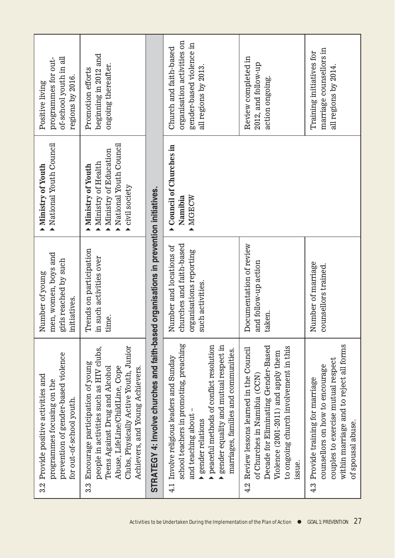| of-school youth in all<br>programmes for out-<br>regions by 2016.<br>Positive living                                                            | beginning in 2012 and<br>ongoing thereafter.<br>Promotion efforts                                                                                                                                                                    |                                                                                       | organisation activities on<br>gender-based violence in<br>Church and faith-based<br>all regions by 2013.                                                                                                                                                               | Review completed in<br>2012, and follow-up<br>action ongoing.                                                                                                                                                 | marriage counsellors in<br>Training initiatives for<br>all regions by 2014.                                                                                                   |
|-------------------------------------------------------------------------------------------------------------------------------------------------|--------------------------------------------------------------------------------------------------------------------------------------------------------------------------------------------------------------------------------------|---------------------------------------------------------------------------------------|------------------------------------------------------------------------------------------------------------------------------------------------------------------------------------------------------------------------------------------------------------------------|---------------------------------------------------------------------------------------------------------------------------------------------------------------------------------------------------------------|-------------------------------------------------------------------------------------------------------------------------------------------------------------------------------|
| National Youth Council<br>Ministry of Youth                                                                                                     | National Youth Council<br>Ministry of Education<br>Ministry of Health<br>Ministry of Youth<br>civil society                                                                                                                          |                                                                                       | Council of Churches in<br>MOECW<br>Namibia                                                                                                                                                                                                                             |                                                                                                                                                                                                               |                                                                                                                                                                               |
| men, women, boys and<br>girls reached by such<br>Number of young<br>nitiatives.                                                                 | Trends on participation<br>n such activities over<br>time.                                                                                                                                                                           |                                                                                       | hurches and faith-based<br>Number and locations of<br>organisations reporting<br>such activities.                                                                                                                                                                      | Documentation of review<br>and follow-up action<br>taken.                                                                                                                                                     | Number of marriage<br>counsellors trained.                                                                                                                                    |
| prevention of gender-based violence<br>Provide positive activities and<br>programmes focusing on the<br>for out-of-school youth.<br><u>ನಿ.2</u> | Clubs, Physically Active Youth, Junior<br>people in activities such as HIV clubs,<br>Encourage participation of young<br>Abuse, LifeLine/ChildLine, Cope<br>Teens Against Drug and Alcohol<br>Achievers, and Young Achievers.<br>3.3 | STRATEGY 4: Involve churches and faith-based organisations in prevention initiatives. | school teachers in promoting, preaching<br>peaceful methods of conflict resolution<br>gender equality and mutual respect in<br>marriages, families and communities.<br>Involve religious leaders and Sunday<br>and teaching about<br>gender relations<br>$\frac{1}{4}$ | Decade for Eliminating Gender-Based<br>to ongoing church involvement in this<br>Review lessons learned in the Council<br>Violence (2001-2011) and apply them<br>of Churches in Namibia (CCN)<br>issue.<br>4.2 | within marriage and to reject all forms<br>couples to exercise mutual respect<br>counsellors on how to encourage<br>Provide training for marriage<br>of spousal abuse.<br>4.3 |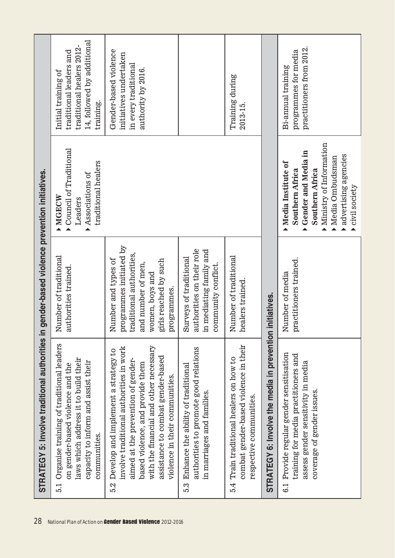| 28                                                         | STRATEGY 5: Involve traditional authorities in                                                                                                                                                                                                                                   | gender-based violence prevention initiatives.                                                                                                              |                                                                                                                                                                                                            |                                                                                                                        |
|------------------------------------------------------------|----------------------------------------------------------------------------------------------------------------------------------------------------------------------------------------------------------------------------------------------------------------------------------|------------------------------------------------------------------------------------------------------------------------------------------------------------|------------------------------------------------------------------------------------------------------------------------------------------------------------------------------------------------------------|------------------------------------------------------------------------------------------------------------------------|
|                                                            | Organise training of traditional leaders<br>laws which address it to build their<br>capacity to inform and assist their<br>on gender-based violence and the<br>communities.<br>5.1                                                                                               | Number of traditional<br>authorities trained.                                                                                                              | Council of Traditional<br>traditional healers<br>Associations of<br><b>MORCW</b><br>Leaders                                                                                                                | 14, followed by additional<br>traditional healers 2012-<br>traditional leaders and<br>Initial training of<br>training. |
| National Plan of Action on Gender Based Violence 2012-2016 | with the financial and other necessary<br>involve traditional authorities in work<br>Develop and implement a strategy to<br>assistance to combat gender-based<br>aimed at the prevention of gender-<br>based violence, and provide them<br>violence in their communities.<br>5.2 | programmes initiated by<br>raditional authorities,<br>Number and types of<br>girls reached by such<br>and number of men,<br>women, boys and<br>programmes. |                                                                                                                                                                                                            | Gender-based violence<br>initiatives undertaken<br>in every traditional<br>authority by 2016.                          |
|                                                            | authorities to promote good relations<br>Enhance the ability of traditional<br>in marriages and families.<br>5.3                                                                                                                                                                 | authorities on their role<br>n mediating family and<br>Surveys of traditional<br>community conflict.                                                       |                                                                                                                                                                                                            |                                                                                                                        |
|                                                            | combat gender-based violence in their<br>Train traditional healers on how to<br>respective communities.<br>5.4                                                                                                                                                                   | Number of traditional<br>nealers trained.                                                                                                                  |                                                                                                                                                                                                            | Training during<br>$2013 - 15.$                                                                                        |
|                                                            | STRATEGY 6: Involve the media in prevention                                                                                                                                                                                                                                      | initiatives.                                                                                                                                               |                                                                                                                                                                                                            |                                                                                                                        |
|                                                            | Provide regular gender sensitisation<br>training for media practitioners and<br>assess gender sensitivity in media<br>coverage of gender issues.<br>$\ddot{6}$ .                                                                                                                 | practitioners trained.<br>Number of media                                                                                                                  | $\blacktriangleright$ Ministry of Information<br>Gender and Media in<br>advertising agencies<br>Media Ombudsman<br>Media Institute of<br><b>Southern Africa</b><br><b>Southern Africa</b><br>civil society | practitioners from 2012.<br>programmes for media<br>Bi-annual training                                                 |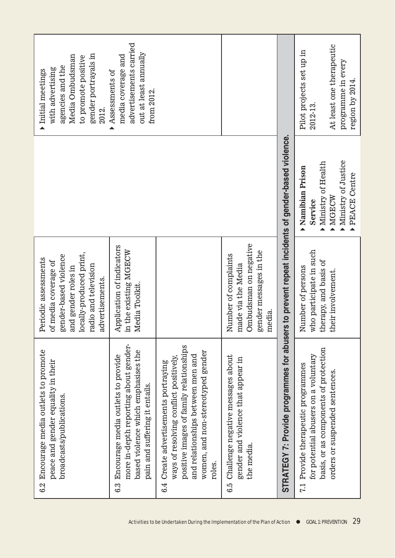| gender portrayals in<br>Media Ombudsman<br>to promote positive<br>agencies and the<br>with advertising<br>Initial meetings<br>2012.                                | advertisements carried<br>out at least annually<br>media coverage and<br>Assessments of<br>from 2012.                                                       |                                                                                                                                                                                                                  |                                                                                                         |                                                                                                  | Pilot projects set up in<br>2012-13.                                                                                   | At least one therapeutic<br>programme in every<br>region by 2014. |
|--------------------------------------------------------------------------------------------------------------------------------------------------------------------|-------------------------------------------------------------------------------------------------------------------------------------------------------------|------------------------------------------------------------------------------------------------------------------------------------------------------------------------------------------------------------------|---------------------------------------------------------------------------------------------------------|--------------------------------------------------------------------------------------------------|------------------------------------------------------------------------------------------------------------------------|-------------------------------------------------------------------|
|                                                                                                                                                                    |                                                                                                                                                             |                                                                                                                                                                                                                  |                                                                                                         |                                                                                                  | Ministry of Health<br>Namibian<br>Prison<br>Service<br>$\blacktriangle$                                                | Ministry of Justice<br>PEACE Centre<br>MGECW                      |
| locally-produced print,<br>gender-based violence<br>Periodic assessments<br>of media coverage of<br>radio and television<br>and gender roles in<br>advertisements. | Application of indicators<br>in the existing MGECW<br>Media Toolkit.                                                                                        |                                                                                                                                                                                                                  | made via the Media<br>Ombudsman on negative<br>gender messages in the<br>Number of complaints<br>media. |                                                                                                  | who participate in such<br>therapy, and basis of<br>Number of persons                                                  | their involvement.                                                |
| 6.2 Encourage media outlets to promote<br>peace and gender equality in their<br>broadcasts/publications.                                                           | more in-depth reporting about gender-<br>based violence which emphasises the<br>Encourage media outlets to provide<br>pain and suffering it entails.<br>6.3 | positive images of family relationships<br>women, and non-stereotyped gender<br>and relationships between men and<br>ways of resolving conflict positively,<br>Create advertisements portraying<br>roles.<br>6.4 | Challenge negative messages about<br>gender and violence that appear in<br>the media.<br>G.5            | STRATEGY 7: Provide programmes for abusers to prevent repeat incidents of gender-based violence. | basis, or as components of protection<br>for potential abusers on a voluntary<br>Provide therapeutic programmes<br>1.1 | orders or suspended sentences.                                    |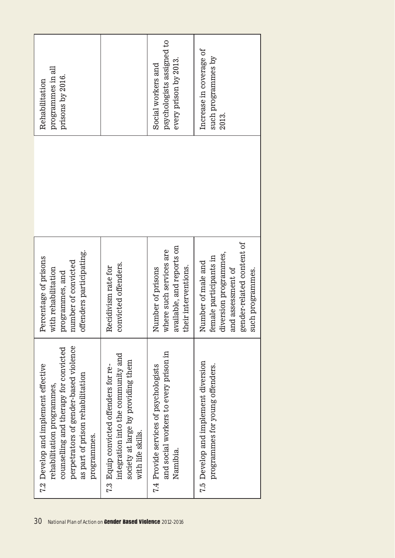| programmes in all<br>prisons by 2016.<br>Rehabilitation                                                                                                                                                |                                                                                                                                        | psychologists assigned to<br>every prison by 2013.<br>Social workers and                          | Increase in coverage of<br>such programmes by<br>2013.                                                                                      |
|--------------------------------------------------------------------------------------------------------------------------------------------------------------------------------------------------------|----------------------------------------------------------------------------------------------------------------------------------------|---------------------------------------------------------------------------------------------------|---------------------------------------------------------------------------------------------------------------------------------------------|
|                                                                                                                                                                                                        |                                                                                                                                        |                                                                                                   |                                                                                                                                             |
| offenders participating.<br>Percentage of prisons<br>number of convicted<br>with rehabilitation<br>programmes, and                                                                                     | convicted offenders.<br>Recidivism rate for                                                                                            | available, and reports on<br>where such services are<br>their interventions.<br>Number of prisons | gender-related content of<br>diversion programmes,<br>female participants in<br>Number of male and<br>and assessment of<br>such programmes. |
| perpetrators of gender-based violence<br>counselling and therapy for convicted<br>7.2 Develop and implement effective<br>as part of prison rehabilitation<br>rehabilitation programmes,<br>programmes. | integration into the community and<br>society at large by providing them<br>7.3 Equip convicted offenders for re-<br>with life skills. | and social workers to every prison in<br>7.4 Provide services of psychologists<br>Namibia.        | 7.5 Develop and implement diversion<br>programmes for young offenders.                                                                      |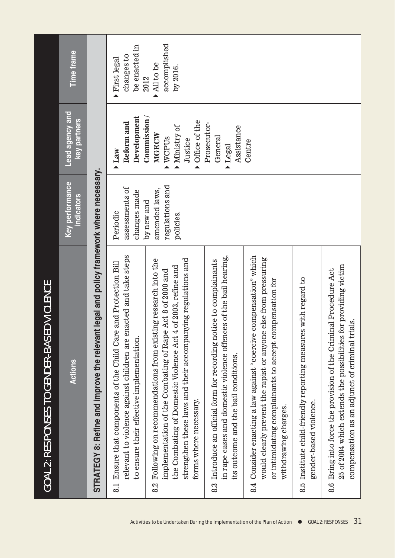| <b>GOAL 2: RESPONSES TO GENDER-BASED VIOLENCE</b>                                                                                                                                                                                                                                             |                                                               |                                                                           |                                               |
|-----------------------------------------------------------------------------------------------------------------------------------------------------------------------------------------------------------------------------------------------------------------------------------------------|---------------------------------------------------------------|---------------------------------------------------------------------------|-----------------------------------------------|
| Actions                                                                                                                                                                                                                                                                                       | <b>Key performance</b><br><b>indicators</b>                   | Lead agency and<br>key partners                                           | <b>Time frame</b>                             |
| : legal and policy framework where necessary.<br>STRATEGY 8: Refine and improve the relevant                                                                                                                                                                                                  |                                                               |                                                                           |                                               |
| relevant to violence against children are enacted and take steps<br>and Protection Bill<br>Ensure that components of the Child Care<br>to ensure their effective implementation.<br>$\frac{1}{8}$                                                                                             | assessments of<br>changes made<br>Periodic                    | Development<br>Reform and<br><b>Law</b>                                   | be enacted in<br>changes to<br>First legal    |
| strengthen these laws and their accompanying regulations and<br>Following on recommendations from existing research into the<br>the Combating of Domestic Violence Act 4 of 2003, refine and<br>Act 8 of 2000 and<br>implementation of the Combating of Rape<br>forms where necessary.<br>8.2 | regulations and<br>amended laws,<br>$by$ new and<br>policies. | Commission /<br>Office of the<br>Ministry of<br>MGECW<br>WCPUs<br>Justice | accomplished<br>All to be<br>by 2016.<br>2012 |
| in rape cases and domestic violence offences of the bail hearing,<br>8.3 Introduce an official form for recording notice to complainants<br>its outcome and the bail conditions.                                                                                                              |                                                               | Prosecutor-<br>Assistance<br>General<br>Legal                             |                                               |
| compensation" which<br>would clearly prevent the rapist or anyone else from pressuring<br>or intimidating complainants to accept compensation for<br>8.4 Consider enacting a law against "coercive<br>withdrawing charges.                                                                    |                                                               | Centre                                                                    |                                               |
| 8.5 Institute child-friendly reporting measures with regard to<br>gender-based violence.                                                                                                                                                                                                      |                                                               |                                                                           |                                               |
| 25 of 2004 which extends the possibilities for providing victim<br>8.6 Bring into force the provision of the Criminal Procedure Act<br>compensation as an adjunct of criminal trials.                                                                                                         |                                                               |                                                                           |                                               |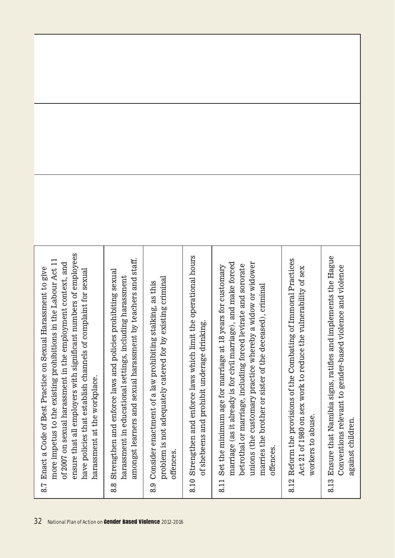| ensure that all employers with significant numbers of employees<br>more impetus to the existing prohibitions in the Labour Act 11<br>of 2007 on sexual harassment in the employment context, and<br>8.7 Enact a Code of Best Practice on Sexual Harassment to give<br>have policies that establish channels of complaint for sexual<br>harassment at the workplace. | amongst learners and sexual harassment by teachers and staff.<br>8.8 Strengthen and enforce laws and policies prohibiting sexual<br>harassment in educational settings, including harassment | problem is not adequately catered for by existing criminal<br>8.9 Consider enactment of a law prohibiting stalking, as this<br>offences. | 8.10 Strengthen and enforce laws which limit the operational hours<br>of shebeens and prohibit underage drinking. | marriage (as it already is for civil marriage), and make forced<br>unions (the customary practice whereby a widow or widower<br>betrothal or marriage, including forced levirate and sororate<br>Set the minimum age for marriage at 18 years for customary<br>marries the brother or sister of the deceased), criminal<br>offences.<br>8.11 | Reform the provisions of the Combating of Immoral Practices<br>Act 21 of 1980 on sex work to reduce the vulnerability of sex<br>workers to abuse.<br>8.12 | Ensure that Namibia signs, ratifies and implements the Hague<br>Conventions relevant to gender-based violence and violence<br>against children.<br>8.13 |
|---------------------------------------------------------------------------------------------------------------------------------------------------------------------------------------------------------------------------------------------------------------------------------------------------------------------------------------------------------------------|----------------------------------------------------------------------------------------------------------------------------------------------------------------------------------------------|------------------------------------------------------------------------------------------------------------------------------------------|-------------------------------------------------------------------------------------------------------------------|----------------------------------------------------------------------------------------------------------------------------------------------------------------------------------------------------------------------------------------------------------------------------------------------------------------------------------------------|-----------------------------------------------------------------------------------------------------------------------------------------------------------|---------------------------------------------------------------------------------------------------------------------------------------------------------|
| 32<br>National Plan of Action on Gender Based Violence 2012-2016                                                                                                                                                                                                                                                                                                    |                                                                                                                                                                                              |                                                                                                                                          |                                                                                                                   |                                                                                                                                                                                                                                                                                                                                              |                                                                                                                                                           |                                                                                                                                                         |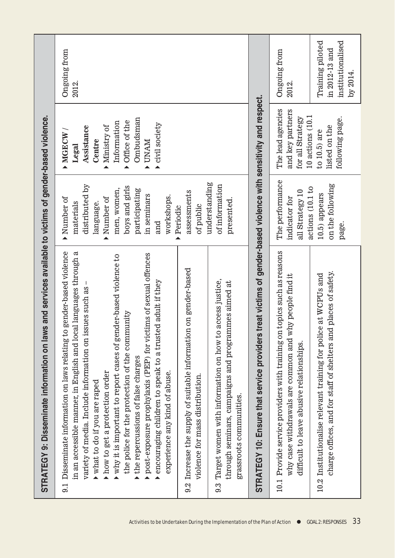| STRATEGY 9: Disseminate information on laws and services available to victims of gender-based violence.                                                                                                                                                                                                                                                                                                                                                                                                                                                                                                    |                                                                                                                                                                      |                                                                                                                                                                             |                                                                     |
|------------------------------------------------------------------------------------------------------------------------------------------------------------------------------------------------------------------------------------------------------------------------------------------------------------------------------------------------------------------------------------------------------------------------------------------------------------------------------------------------------------------------------------------------------------------------------------------------------------|----------------------------------------------------------------------------------------------------------------------------------------------------------------------|-----------------------------------------------------------------------------------------------------------------------------------------------------------------------------|---------------------------------------------------------------------|
| gender-based violence<br>in an accessible manner, in English and local languages through a<br>post-exposure prophylaxis (PEP) for victims of sexual offences<br>why it is important to report cases of gender-based violence to<br>encouraging children to speak to a trusted adult if they<br>variety of media. Include information on issues such as –<br>the police for the protection of the community<br>Disseminate information on laws relating to<br>the repercussions of false charges<br>how to get a protection order<br>experience any kind of abuse.<br>what to do if you are raped<br>.<br>ಎ | distributed by<br>boys and girls<br>men, women,<br>participating<br>in seminars<br>workshops.<br>Number of<br>Number of<br>language.<br>materials<br>Periodic<br>and | Ombudsman<br>Office of the<br>Information<br>civil society<br>Ministry of<br>Assistance<br>MGECW/<br>Centre<br><b>UNAM</b><br>Legal<br>$\blacktriangle$<br>$\blacktriangle$ | <b>Ongoing</b> from<br>2012.                                        |
| on gender-based<br>9.2 Increase the supply of suitable information<br>violence for mass distribution.                                                                                                                                                                                                                                                                                                                                                                                                                                                                                                      | understanding<br>assessments<br>of public                                                                                                                            |                                                                                                                                                                             |                                                                     |
| access justice,<br>through seminars, campaigns and programmes aimed at<br>Target women with information on how to<br>grassroots communities.<br><u>ာ့</u>                                                                                                                                                                                                                                                                                                                                                                                                                                                  | of information<br>presented.                                                                                                                                         |                                                                                                                                                                             |                                                                     |
| STRATEGY 10: Ensure that service providers treat victims of gender-based violence with sensitivity and respect.                                                                                                                                                                                                                                                                                                                                                                                                                                                                                            |                                                                                                                                                                      |                                                                                                                                                                             |                                                                     |
| topics such as reasons<br>why case withdrawals are common and why people find it<br>10.1 Provide service providers with training on<br>difficult to leave abusive relationships.                                                                                                                                                                                                                                                                                                                                                                                                                           | The performance<br>actions (10.1 to<br>all Strategy 10<br>indicator for                                                                                              | The lead agencies<br>and key partners<br>$10$ actions $(10.1)$<br>for all Strategy                                                                                          | Ongoing from<br>2012.                                               |
| charge offices, and for staff of shelters and places of safety.<br>Institutionalise relevant training for police at WCPUs and<br>10.2                                                                                                                                                                                                                                                                                                                                                                                                                                                                      | on the following<br>10.5) appears<br>page.                                                                                                                           | following page.<br>listed on the<br>to $10.5$ ) are                                                                                                                         | institutionalised<br>Training piloted<br>in 2012-13 and<br>by 2014. |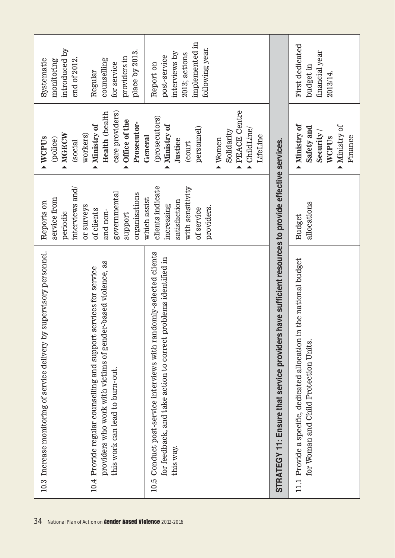| introduced by<br>end of 2012.<br>Systematic<br>monitoring                 | place by 2013.<br>providers in<br>counselling<br>for service<br>Regular                                                                                              | implemented in<br>following year.<br>interviews by<br>2013; actions<br>post-service<br>Report on                                                                                            |                                                                                                        | First dedicated<br>financial year<br>budget in<br>2013/14                                                        |
|---------------------------------------------------------------------------|----------------------------------------------------------------------------------------------------------------------------------------------------------------------|---------------------------------------------------------------------------------------------------------------------------------------------------------------------------------------------|--------------------------------------------------------------------------------------------------------|------------------------------------------------------------------------------------------------------------------|
| MGECW<br>WCPUs<br>(police)<br>(social                                     | Health (health<br>care providers)<br>Office of the<br>Prosecutor-<br>Ministry of<br>workers)<br>▲                                                                    | PEACE Centre<br>(prosecutors)<br>Ministry of<br>personnel)<br>$\blacktriangleright$ ChildLine<br>Solidarity<br>LifeLine<br>General<br>$\blacktriangleright$ Women<br>Justice<br>(court<br>▲ |                                                                                                        | Ministry of<br>Ministry of<br>Safety and<br>Security /<br>Finance<br>WCPUs                                       |
| interviews and/<br>service from<br>Reports on<br>periodic                 | governmental<br>organisations<br>or surveys<br>of clients<br>and non-<br>support                                                                                     | clients indicate<br>with sensitivity<br>which assist<br>satisfaction<br>increasing<br>providers.<br>of service                                                                              |                                                                                                        | allocations<br><b>Budget</b>                                                                                     |
| supervisory personnel.<br>10.3 Increase monitoring of service delivery by | providers who work with victims of gender-based violence, as<br>10.4 Provide regular counselling and support services for service<br>this work can lead to burn-out. | Conduct post-service interviews with randomly-selected clients<br>for feedback, and take action to correct problems identified in<br>this way.<br>10.5                                      | have sufficient resources to provide effective services.<br>STRATEGY 11: Ensure that service providers | the national budget<br>11.1 Provide a specific, dedicated allocation in<br>for Woman and Child Protection Units. |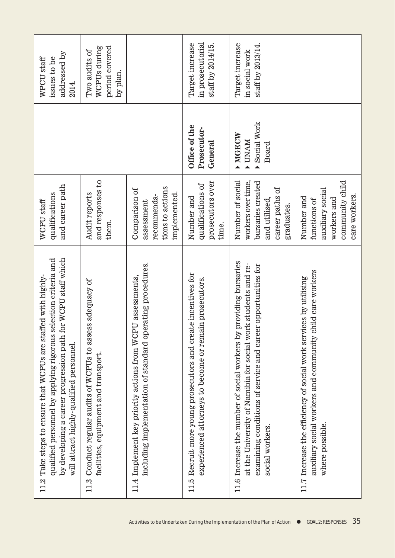| by developing a career progression path for WCPU staff which<br>qualified personnel by applying rigorous selection criteria and<br>11.2 Take steps to ensure that WCPUs are staffed with highly-<br>will attract highly-qualified personnel. | and career path<br>qualifications<br>WCPU staff                                                               |                                              | addressed by<br>WPCU staff<br>issues to be<br>2014.         |
|----------------------------------------------------------------------------------------------------------------------------------------------------------------------------------------------------------------------------------------------|---------------------------------------------------------------------------------------------------------------|----------------------------------------------|-------------------------------------------------------------|
| 11.3 Conduct regular audits of WCPUs to assess adequacy of<br>facilities, equipment and transport.                                                                                                                                           | and responses to<br>Audit reports<br>them.                                                                    |                                              | period covered<br>WCPUs during<br>Two audits of<br>by plan. |
| including implementation of standard operating procedures.<br>11.4 Implement key priority actions from WCPU assessments,                                                                                                                     | tions to actions<br>Comparison of<br>implemented.<br>recommenda-<br>assessment                                |                                              |                                                             |
| 11.5 Recruit more young prosecutors and create incentives for<br>experienced attorneys to become or remain prosecutors.                                                                                                                      | prosecutors over<br>qualifications of<br>Number and<br>time.                                                  | Office of the<br>Prosecutor-<br>General      | in prosecutorial<br>Target increase<br>staff by 2014/15.    |
| providing bursaries<br>at the University of Namibia for social work students and re-<br>examining conditions of service and career opportunities for<br>11.6 Increase the number of social workers by<br>social workers.                     | Number of social<br>workers over time,<br>bursaries created<br>career paths of<br>and utilised,<br>graduates. | Social Work<br>MORCW<br><b>NAND</b><br>Board | Target increase<br>staff by 2013/14.<br>in social work      |
| auxiliary social workers and community child care workers<br>11.7 Increase the efficiency of social work services by utilising<br>where possible.                                                                                            | community child<br>auxiliary social<br>care workers.<br>Number and<br>workers and<br>functions of             |                                              |                                                             |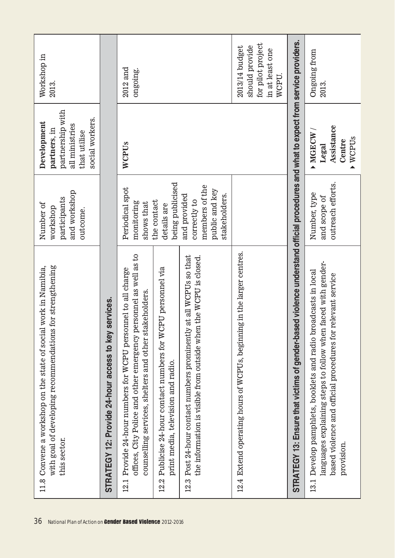| for strengthening<br>work in Namibia,<br>11.8 Convene a workshop on the state of social<br>with goal of developing recommendations<br>this sector.<br>36                                                          | and workshop<br>participants<br>Number of<br>workshop<br>outcome.                 | partnership with<br>social workers.<br>Development<br>all ministries<br>partners, in<br>that utilise | Workshop in<br>2013.                                                              |
|-------------------------------------------------------------------------------------------------------------------------------------------------------------------------------------------------------------------|-----------------------------------------------------------------------------------|------------------------------------------------------------------------------------------------------|-----------------------------------------------------------------------------------|
| services.<br>STRATEGY 12: Provide 24-hour access to key                                                                                                                                                           |                                                                                   |                                                                                                      |                                                                                   |
| offices, City Police and other emergency personnel as well as to<br>Provide 24-hour numbers for WCPU personnel to all charge<br>counselling services, shelters and other stakeholders.<br>12.1                    | Periodical spot<br>monitoring<br>shows that                                       | WCPUs                                                                                                | $2012$ and<br>ongoing.                                                            |
| Publicise 24-hour contact numbers for WCPU personnel via<br>print media, television and radio.<br>12.2                                                                                                            | being publicised<br>the contact<br>details are                                    |                                                                                                      |                                                                                   |
| at all WCPUs so that<br>the information is visible from outside when the WCPU is closed.<br>Post 24-hour contact numbers prominently<br>12.3                                                                      | members of the<br>public and key<br>stakeholders.<br>and provided<br>correctly to |                                                                                                      |                                                                                   |
| Extend operating hours of WCPUs, beginning in the larger centres.<br>12.4                                                                                                                                         |                                                                                   |                                                                                                      | for pilot project<br>should provide<br>2013/14 budget<br>in at least one<br>WCPU. |
| STRATEGY 13: Ensure that victims of gender-based violence understand official procedures and what to expect from service providers.                                                                               |                                                                                   |                                                                                                      |                                                                                   |
| languages explaining steps to follow when faced with gender-<br>Develop pamphlets, booklets and radio broadcasts in local<br>relevant service<br>based violence and official procedures for<br>provision.<br>13.1 | outreach efforts.<br>Number, type<br>and scope of                                 | Assistance<br>MGECW/<br>$\blacktriangleright$ WCPU <sub>S</sub><br>Centre<br>Legal                   | Ongoing from<br>2013.                                                             |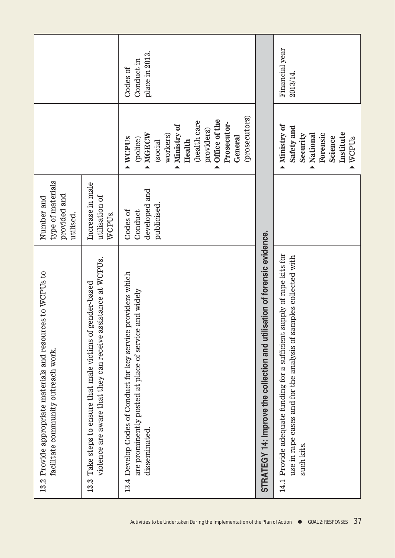|                                                                                                     |                                                                                                                                    | place in 2013.<br>Conduct in<br>Codes of                                                                                                                                              |                                                                           | Financial year<br>2013/14.                                                                                                                                  |
|-----------------------------------------------------------------------------------------------------|------------------------------------------------------------------------------------------------------------------------------------|---------------------------------------------------------------------------------------------------------------------------------------------------------------------------------------|---------------------------------------------------------------------------|-------------------------------------------------------------------------------------------------------------------------------------------------------------|
|                                                                                                     |                                                                                                                                    | (prosecutors)<br>Office of the<br>(health care<br>Prosecutor-<br>Ministry of<br>providers)<br>MGECW<br>workers)<br>General<br>WCPU <sub>S</sub><br>(police)<br>(social<br>Health<br>▲ |                                                                           | Ministry of<br>Safety and<br>Institute<br>Forensic<br>National<br>Security<br>Science<br>WCPUS<br>▲                                                         |
| type of materials<br>provided and<br>Number and<br>utilised.                                        | Increase in male<br>utilisation of<br>WCPUs.                                                                                       | developed and<br>publicised.<br>Codes of<br>Conduct                                                                                                                                   |                                                                           |                                                                                                                                                             |
| 13.2 Provide appropriate materials and resources to WCPUs to<br>facilitate community outreach work. | violence are aware that they can receive assistance at WCPUs.<br>gender-based<br>Take steps to ensure that male victims of<br>13.3 | providers which<br>and widely<br>Develop Codes of Conduct for key service<br>are prominently posted at place of service<br>disseminated.<br>13.4                                      | STRATEGY 14: Improve the collection and utilisation of forensic evidence. | Provide adequate funding for a sufficient supply of rape kits for<br>use in rape cases and for the analysis of samples collected with<br>such kits.<br>14.1 |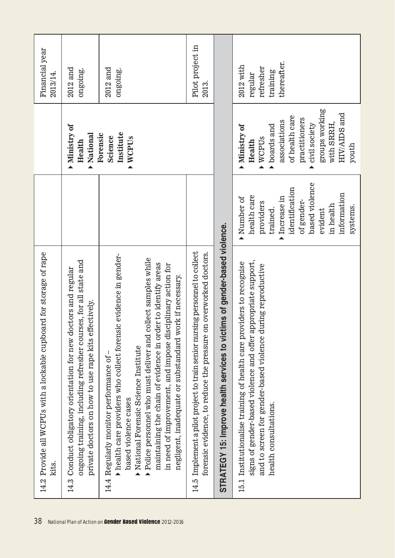| 14.2 Provide all WCPUs with a lockable cupboard for storage of rape<br>kits.<br>38                                                                                                                                                                                                                                                                                                                                                                                                                                                        |                                                                                                                                                                       |                                                                                                                                                                           | Financial year<br>2013/14                                      |
|-------------------------------------------------------------------------------------------------------------------------------------------------------------------------------------------------------------------------------------------------------------------------------------------------------------------------------------------------------------------------------------------------------------------------------------------------------------------------------------------------------------------------------------------|-----------------------------------------------------------------------------------------------------------------------------------------------------------------------|---------------------------------------------------------------------------------------------------------------------------------------------------------------------------|----------------------------------------------------------------|
| ongoing training, including refresher courses, for all state and<br>Conduct obligatory orientation for new doctors and regular<br>private doctors on how to use rape kits effectively.<br>14.3                                                                                                                                                                                                                                                                                                                                            |                                                                                                                                                                       | Ministry of<br>Mational<br>Health                                                                                                                                         | $2012$ and<br>ongoing.                                         |
| health care providers who collect forensic evidence in gender-<br>$\blacktriangleright$ Police personnel who must deliver and collect samples while<br>maintaining the chain of evidence in order to identify areas<br>in need of improvement, and impose disciplinary action for<br>negligent, inadequate or substandard work if necessary.<br>National Forensic Science Institute<br>Regularly monitor performance of<br>based violence cases<br>$\blacktriangle$<br>14.4<br>National Plan of Action on Gender Based Violence 2012-2016 |                                                                                                                                                                       | Institute<br>Forensic<br>Science<br>WCPU <sub>S</sub>                                                                                                                     | $2012$ and<br>ongoing.                                         |
| Implement a pilot project to train senior nursing personnel to collect<br>forensic evidence, to reduce the pressure on overworked doctors.<br>14.5                                                                                                                                                                                                                                                                                                                                                                                        |                                                                                                                                                                       |                                                                                                                                                                           | Pilot project in<br>2013.                                      |
| STRATEGY 15: Improve health services to victims of gender-based violence.                                                                                                                                                                                                                                                                                                                                                                                                                                                                 |                                                                                                                                                                       |                                                                                                                                                                           |                                                                |
| signs of gender-based violence and offer appropriate support,<br>Institutionalise training of health care providers to recognise<br>and to screen for gender-based violence during reproductive<br>health consultations.<br>15.1                                                                                                                                                                                                                                                                                                          | based violence<br>identification<br>information<br>health care<br>Increase in<br>Number of<br>of gender-<br>providers<br>in health<br>systems.<br>trained.<br>evident | groups working<br>HIV/AIDS and<br>of health care<br>practitioners<br>associations<br>with SRRH,<br>civil society<br>boards and<br>Ministry of<br>WCPUs<br>Health<br>youth | thereafter.<br>$2012$ with<br>refresher<br>training<br>regular |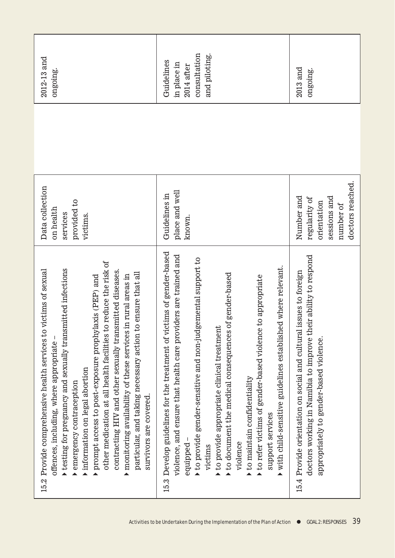| 2012-13 and<br>ongoing.                                                                                                                                                                                                                                                                                                                                                                                                                                                                                                                                                                | consultation<br>and piloting.<br>Guidelines<br>in place in<br>2014 after                                                                                                                                                                                                                                                                                                                                                                                                                                                                                  | $2013$ and<br>ongoing.                                                                                                                                                         |
|----------------------------------------------------------------------------------------------------------------------------------------------------------------------------------------------------------------------------------------------------------------------------------------------------------------------------------------------------------------------------------------------------------------------------------------------------------------------------------------------------------------------------------------------------------------------------------------|-----------------------------------------------------------------------------------------------------------------------------------------------------------------------------------------------------------------------------------------------------------------------------------------------------------------------------------------------------------------------------------------------------------------------------------------------------------------------------------------------------------------------------------------------------------|--------------------------------------------------------------------------------------------------------------------------------------------------------------------------------|
| Data collection<br>provided to<br>on health<br>services<br>victims.                                                                                                                                                                                                                                                                                                                                                                                                                                                                                                                    | place and well<br>Guidelines in<br>known.                                                                                                                                                                                                                                                                                                                                                                                                                                                                                                                 | doctors reached.<br>Number and<br>sessions and<br>regularity of<br>orientation<br>number of                                                                                    |
| other medication at all health facilities to reduce the risk of<br>testing for pregnancy and sexually transmitted infections<br>victims of sexual<br>contracting HIV and other sexually transmitted diseases.<br>to ensure that all<br>monitoring availability of these services in rural areas in<br>prompt access to post-exposure prophylaxis (PEP) and<br>15.2 Provide comprehensive health services to<br>particular, and taking necessary action<br>offences, including, where appropriate<br>information on legal abortion<br>emergency contraception<br>survivors are covered. | 15.3 Develop guidelines for the treatment of victims of gender-based<br>violence, and ensure that health care providers are trained and<br>gemental support to<br>ed where relevant.<br>to document the medical consequences of gender-based<br>to refer victims of gender-based violence to appropriate<br>to provide appropriate clinical treatment<br>$\blacktriangleright$ to provide gender-sensitive and non-jud<br>with child-sensitive guidelines establish<br>to maintain confidentiality<br>support services<br>violence<br>equipped<br>victims | doctors working in Namibia to improve their ability to respond<br>15.4 Provide orientation on social and cultural issues to foreign<br>appropriately to gender-based violence. |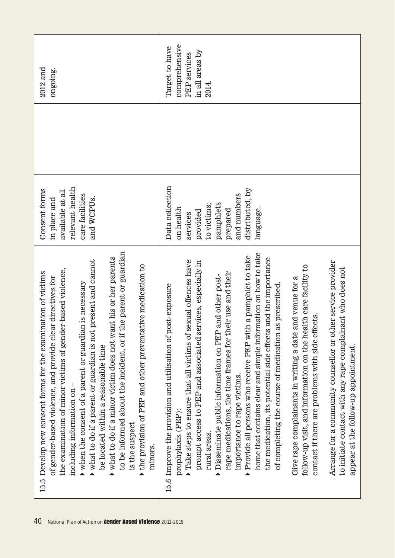| to be informed about the incident, or if the parent or guardian<br>what to do if a minor victim does not want his or her parents<br>what to do if a parent or guardian is not present and cannot<br>the provision of PEP and other preventative medication to<br>er-based violence,<br>15.5 Develop new consent forms for the examination of victims<br>of gender-based violence, and provide clear directives for<br>in is necessary<br>$\blacktriangleright$ when the consent of a parent or guardia<br>the examination of minor victims of gend<br>be located within a reasonable time<br>including information on<br>is the suspect<br>minors.                                                                                                                                                                                                                                                                                                                                                                         | relevant health<br>Consent forms<br>available at all<br>care facilities<br>and WCPUs.<br>in place and                                       | $2012$ and<br>ongoing.                                                             |
|----------------------------------------------------------------------------------------------------------------------------------------------------------------------------------------------------------------------------------------------------------------------------------------------------------------------------------------------------------------------------------------------------------------------------------------------------------------------------------------------------------------------------------------------------------------------------------------------------------------------------------------------------------------------------------------------------------------------------------------------------------------------------------------------------------------------------------------------------------------------------------------------------------------------------------------------------------------------------------------------------------------------------|---------------------------------------------------------------------------------------------------------------------------------------------|------------------------------------------------------------------------------------|
| home that contains clear and simple information on how to take<br>Provide all persons who receive PEP with a pamphlet to take<br>the medication, its potential side effects and the importance<br>Take steps to ensure that all victims of sexual offences have<br>prompt access to PEP and associated services, especially in<br>Arrange for a community counsellor or other service provider<br>follow-up visit, and information on the health care facility to<br>to initiate contact with any rape complainant who does not<br>rape medications, the time frames for their use and their<br>Disseminate public information on PEP and other post-<br>Give rape complainants in writing a date and venue for a<br>as prescribed.<br>Improve the provision and utilisation of post-exposure<br>contact if there are problems with side effects.<br>of completing the course of medication<br>appear at the follow-up appointment.<br>importance to rape victims.<br>prophylaxis (PEP):<br>rural areas.<br>▲<br>▲<br>15.6 | Data collection<br>distributed, by<br>and numbers<br>pamphlets<br>to victims;<br>on health<br>language.<br>prepared<br>provided<br>services | comprehensive<br>Target to have<br>in all areas by<br><b>PEP</b> services<br>2014. |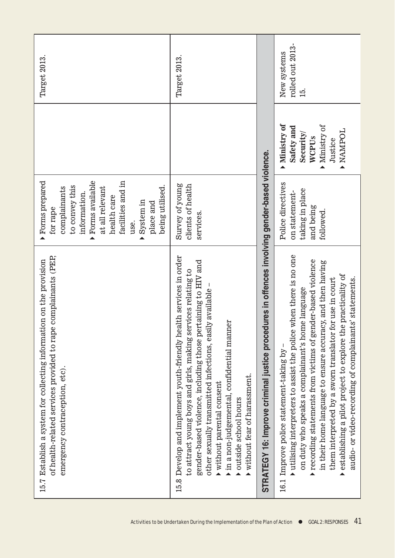| of health-related services provided to rape complainants (PEP,<br>15.7 Establish a system for collecting information on the provision<br>emergency contraception, etc).                                                                                                                                                                                                                                                                                                           | Forms prepared<br>Forms available<br>facilities and in<br>being utilised.<br>to convey this<br>at all relevant<br>complainants<br>information.<br>health care<br>System in<br>place and<br>for rape<br>use.<br>▲<br>▲ |                                                                                              | Target 2013                            |
|-----------------------------------------------------------------------------------------------------------------------------------------------------------------------------------------------------------------------------------------------------------------------------------------------------------------------------------------------------------------------------------------------------------------------------------------------------------------------------------|-----------------------------------------------------------------------------------------------------------------------------------------------------------------------------------------------------------------------|----------------------------------------------------------------------------------------------|----------------------------------------|
| Develop and implement youth-friendly health services in order<br>gender-based violence, including those pertaining to HIV and<br>to attract young boys and girls, making services relating to<br>other sexually transmitted infections, easily available<br>in a non-judgemental, confidential manner<br>without fear of harassment.<br>without parental consent<br>outside school hours<br>15.8                                                                                  | Survey of young<br>clients of health<br>services.                                                                                                                                                                     |                                                                                              | Target 2013                            |
| STRATEGY 16: Improve criminal justice procedures in offences involving gender-based violence.                                                                                                                                                                                                                                                                                                                                                                                     |                                                                                                                                                                                                                       |                                                                                              |                                        |
| utilising interpreters to assist the police when there is no one<br>recording statements from victims of gender-based violence<br>in their home language to ensure accuracy, and then having<br>establishing a pilot project to explore the practicality of<br>audio- or video-recording of complainants' statements.<br>them interpreted by a sworn translator for use in court<br>on duty who speaks a complainant's home language<br>16.1 Improve police statement-taking by - | Police directives<br>taking in place<br>on statement-<br>and being<br>followed.                                                                                                                                       | Ministry of<br>Ministry of<br>Safety and<br><b>DOHNYN 1</b><br>Security/<br>WCPUs<br>Justice | rolled out 2013-<br>New systems<br>15. |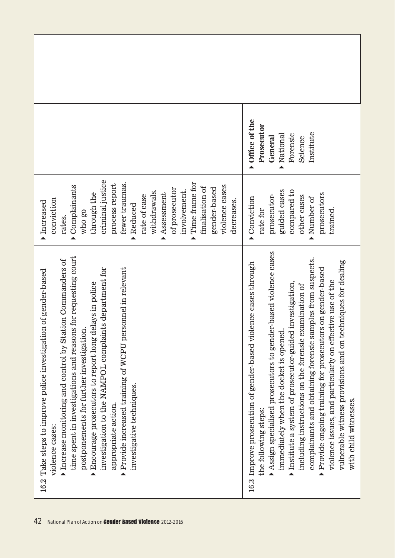|                                                                                                                                                                                                                                                                                                                                                                                                                                                                                                    | Office of the<br>Prosecutor<br>Institute<br>National<br>Forensic<br>General<br>Science                                                                                                                                                                                                                                                                                                                                                                                                                                                                                                                       |
|----------------------------------------------------------------------------------------------------------------------------------------------------------------------------------------------------------------------------------------------------------------------------------------------------------------------------------------------------------------------------------------------------------------------------------------------------------------------------------------------------|--------------------------------------------------------------------------------------------------------------------------------------------------------------------------------------------------------------------------------------------------------------------------------------------------------------------------------------------------------------------------------------------------------------------------------------------------------------------------------------------------------------------------------------------------------------------------------------------------------------|
| criminal justice<br>Time frame for<br>fewer traumas.<br>process report<br>Complainants<br>violence cases<br>finalisation of<br>gender-based<br>of prosecutor<br>involvement.<br>withdrawals.<br>Assessment<br>through the<br>rate of case<br>conviction<br>decreases.<br>Increased<br>Reduced<br>who go<br>rates.<br>▲<br>▲<br>▲<br>▲                                                                                                                                                              | guided cases<br>compared to<br>prosecutors<br>prosecutor-<br>other cases<br>Conviction<br>Number of<br>trained.<br>rate for                                                                                                                                                                                                                                                                                                                                                                                                                                                                                  |
| time spent in investigations and reasons for requesting court<br>Station Commanders of<br>personnel in relevant<br>investigation to the NAMPOL complaints department for<br>16.2 Take steps to improve police investigation of gender-based<br>Encourage prosecutors to report long delays in police<br>postponements for further investigation.<br>Provide increased training of WCPU<br>Increase monitoring and control by<br>investigative techniques.<br>appropriate action.<br>violence cases | Assign specialised prosecutors to gender-based violence cases<br>complainants and obtaining forensic samples from suspects.<br>vulnerable witness provisions and on techniques for dealing<br>violence cases through<br>Provide ongoing training for prosecutors on gender-based<br>effective use of the<br>Institute a system of prosecutor-guided investigation,<br>including instructions on the forensic examination of<br>immediately when the docket is opened<br>Improve prosecution of gender-based<br>violence issues, and particularly on<br>with child witnesses.<br>the following steps:<br>16.3 |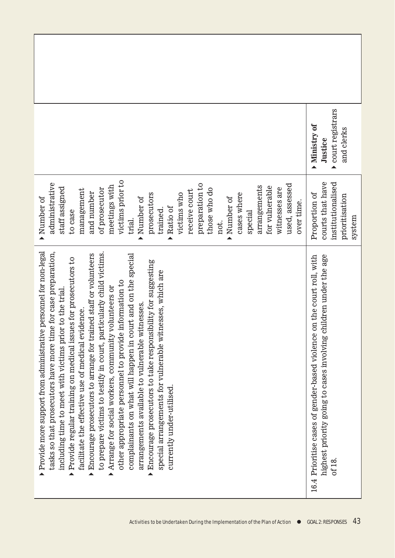|                                                                                                                                                                                                                                                                                                                                                                                                                                                                                                                                                                                                                                                                                                                                                                                                                                                                          | court registrars<br>Ministry of<br>and clerks<br>Justice                                                                                             |
|--------------------------------------------------------------------------------------------------------------------------------------------------------------------------------------------------------------------------------------------------------------------------------------------------------------------------------------------------------------------------------------------------------------------------------------------------------------------------------------------------------------------------------------------------------------------------------------------------------------------------------------------------------------------------------------------------------------------------------------------------------------------------------------------------------------------------------------------------------------------------|------------------------------------------------------------------------------------------------------------------------------------------------------|
| victims prior to<br>preparation to<br>administrative<br>used, assessed<br>meetings with<br>arrangements<br>for vulnerable<br>staff assigned<br>witnesses are<br>of prosecutor<br>those who do<br>management<br>receive court<br>and number<br>prosecutors<br>cases where<br>victims who<br>Number of<br>Number of<br>Number of<br>over time.<br>Ratio of<br>trained.<br>to case<br>special<br>trial.<br>not.                                                                                                                                                                                                                                                                                                                                                                                                                                                             | courts that have<br>institutionalised<br>Proportion of<br>prioritisation<br>system                                                                   |
| Provide more support from administrative personnel for non-legal<br>tasks so that prosecutors have more time for case preparation,<br>particularly child victims.<br>complainants on what will happen in court and on the special<br>Encourage prosecutors to arrange for trained staff or volunteers<br>Provide regular training on medical issues for prosecutors to<br>Encourage prosecutors to take responsibility for suggesting<br>witnesses, which are<br>other appropriate personnel to provide information to<br>Arrange for social workers, community volunteers or<br>including time to meet with victims prior to the trial<br>arrangements available to vulnerable witnesses.<br>l evidence.<br>to prepare victims to testify in court,<br>facilitate the effective use of medical<br>special arrangements for vulnerable<br>currently under-utilised.<br>▲ | 16.4 Prioritise cases of gender-based violence on the court roll, with<br>highest priority going to cases involving children under the age<br>of 18. |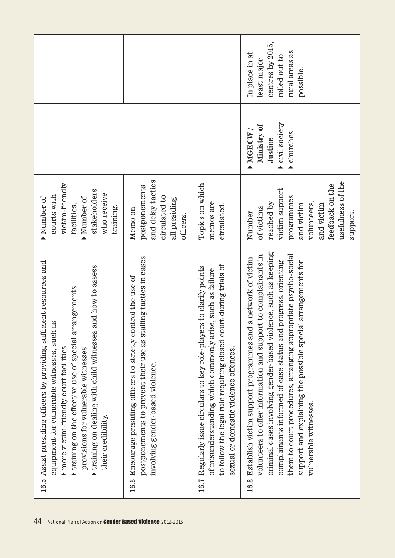|                                                                                                                                                                                                                                                                                                                                                                                                                                |                                                                                                                                                                         |                                                                                                                                                                                                                                                | centres by 2015,<br>rural areas as<br>In place in at<br>rolled out to<br>least major<br>possible.                                                                                                                                                                                                                                                                                                                                  |
|--------------------------------------------------------------------------------------------------------------------------------------------------------------------------------------------------------------------------------------------------------------------------------------------------------------------------------------------------------------------------------------------------------------------------------|-------------------------------------------------------------------------------------------------------------------------------------------------------------------------|------------------------------------------------------------------------------------------------------------------------------------------------------------------------------------------------------------------------------------------------|------------------------------------------------------------------------------------------------------------------------------------------------------------------------------------------------------------------------------------------------------------------------------------------------------------------------------------------------------------------------------------------------------------------------------------|
|                                                                                                                                                                                                                                                                                                                                                                                                                                |                                                                                                                                                                         |                                                                                                                                                                                                                                                | civil society<br>Ministry of<br>MGECW<br>churches<br>Justice                                                                                                                                                                                                                                                                                                                                                                       |
| victim-friendly<br>stakeholders<br>who receive<br>courts with<br>Number of<br>Number of<br>facilities.<br>training.                                                                                                                                                                                                                                                                                                            | and delay tactics<br>postponements<br>circulated to<br>all presiding<br>Memo on<br>officers.                                                                            | Topics on which<br>memos are<br>circulated.                                                                                                                                                                                                    | usefulness of the<br>feedback on the<br>victim support<br>programmes<br>volunteers,<br>reached by<br>and victim<br>and victim<br>of victims<br>support.<br>Number                                                                                                                                                                                                                                                                  |
| 16.5 Assist presiding officers by providing sufficient resources and<br>and how to assess<br>rrangements<br>as<br>equipment for vulnerable witnesses, such<br>$\blacktriangleright$ training on dealing with child witnesses<br>$\blacktriangleright$ training on the effective use of special and<br>$\blacktriangleright$ more victim-friendly court facilities<br>provisions for vulnerable witnesses<br>their credibility. | postponements to prevent their use as stalling tactics in cases<br>16.6 Encourage presiding officers to strictly control the use of<br>involving gender-based violence. | to follow the legal rule requiring closed court during trials of<br>16.7 Regularly issue circulars to key role-players to clarify points<br>of misunderstanding which commonly arise, such as failure<br>sexual or domestic violence offences. | criminal cases involving gender-based violence, such as keeping<br>them to court procedures, arranging appropriate psycho-social<br>volunteers to offer information and support to complainants in<br>Establish victim support programmes and a network of victim<br>complainants informed of case status and progress, orienting<br>support and explaining the possible special arrangements for<br>vulnerable witnesses.<br>16.8 |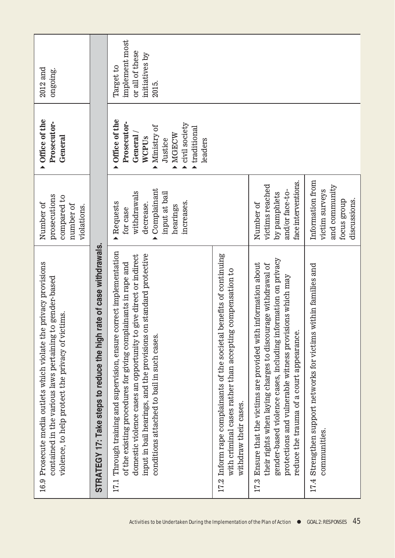| $2012$ and<br>ongoing.                                                                                                                                                             |                                                                         | implement most<br>or all of these<br>initiatives by<br>Target to<br>2015.                                                                                                                                                                                                                                                      |                                                                                                                                                               |                                                                                                                                                                                                                                                                                                             |                                                                                     |
|------------------------------------------------------------------------------------------------------------------------------------------------------------------------------------|-------------------------------------------------------------------------|--------------------------------------------------------------------------------------------------------------------------------------------------------------------------------------------------------------------------------------------------------------------------------------------------------------------------------|---------------------------------------------------------------------------------------------------------------------------------------------------------------|-------------------------------------------------------------------------------------------------------------------------------------------------------------------------------------------------------------------------------------------------------------------------------------------------------------|-------------------------------------------------------------------------------------|
| Office of the<br>Prosecutor-<br>General                                                                                                                                            |                                                                         | Office of the<br>Prosecutor-<br>civil society<br>Ministry of<br>traditional<br>General<br>MGECW<br>WCPUs<br>Justice<br>leaders                                                                                                                                                                                                 |                                                                                                                                                               |                                                                                                                                                                                                                                                                                                             |                                                                                     |
| prosecutions<br>compared to<br>Number of<br>number of<br>violations.                                                                                                               |                                                                         | Complainant<br>withdrawals<br>input at bail<br>increases.<br>Requests<br>decrease.<br>hearings<br>for case                                                                                                                                                                                                                     |                                                                                                                                                               | face interventions.<br>victims reached<br>and/or face-to-<br>by pamphlets<br>Number of                                                                                                                                                                                                                      | Information from<br>and community<br>victim surveys<br>discussions.<br>focus group  |
| 16.9 Prosecute media outlets which violate the privacy provisions<br>contained in the various laws pertaining to gender-based<br>violence, to help protect the privacy of victims. | rate of case withdrawals.<br>STRATEGY 17: Take steps to reduce the high | 17.1 Through training and supervision, ensure correct implementation<br>input in bail hearings, and the provisions on standard protective<br>domestic violence cases an opportunity to give direct or indirect<br>of the existing procedures for giving complainants in rape and<br>conditions attached to bail in such cases. | benefits of continuing<br>with criminal cases rather than accepting compensation to<br>17.2 Inform rape complainants of the societal<br>withdraw their cases. | gender-based violence cases, including information on privacy<br>Ensure that the victims are provided with information about<br>their rights when laying charges to discourage withdrawal of<br>protections and vulnerable witness provisions which may<br>reduce the trauma of a court appearance.<br>17.3 | within families and<br>17.4 Strengthen support networks for victims<br>communities. |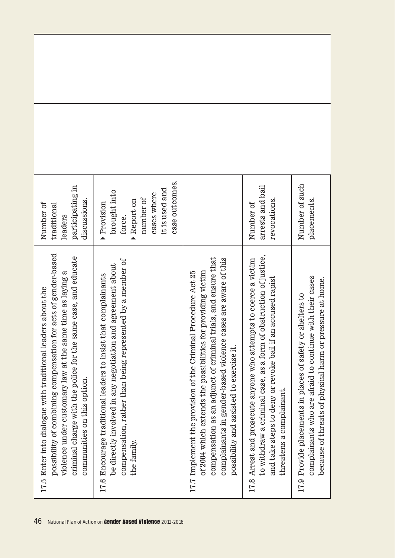| participating in<br>discussions.<br>Number of<br>traditional<br>leaders                                                                                                                                                                                                                           | case outcomes.<br>it is used and<br>brought into<br>cases where<br>number of<br>Report on<br>Provision<br>force.                                                                                              |                                                                                                                                                                                                                                                                                                                    | arrests and bail<br>revocations.<br>Number of                                                                                                                                                                                      | Number of such<br>placements.                                                                                                                                                            |
|---------------------------------------------------------------------------------------------------------------------------------------------------------------------------------------------------------------------------------------------------------------------------------------------------|---------------------------------------------------------------------------------------------------------------------------------------------------------------------------------------------------------------|--------------------------------------------------------------------------------------------------------------------------------------------------------------------------------------------------------------------------------------------------------------------------------------------------------------------|------------------------------------------------------------------------------------------------------------------------------------------------------------------------------------------------------------------------------------|------------------------------------------------------------------------------------------------------------------------------------------------------------------------------------------|
| possibility of combining compensation for acts of gender-based<br>charge with the police for the same case, and educate<br>under customary law at the same time as laying a<br>17.5 Enter into dialogue with traditional leaders about the<br>communities on this option.<br>violence<br>criminal | compensation, rather than being represented by a member of<br>be directly involved in any negotiation and agreement about<br>Encourage traditional leaders to insist that complainants<br>the family.<br>17.6 | compensation as an adjunct of criminal trials, and ensure that<br>complainants in gender-based violence cases are aware of this<br>hich extends the possibilities for providing victim<br>17.7 Implement the provision of the Criminal Procedure Act 25<br>possibility and assisted to exercise it.<br>of $2004$ w | to withdraw a criminal case, as a form of obstruction of justice,<br>17.8 Arrest and prosecute anyone who attempts to coerce a victim<br>steps to deny or revoke bail if an accused rapist<br>threatens a complainant.<br>and take | complainants who are afraid to continue with their cases<br>of threats of physical harm or pressure at home.<br>Provide placements in places of safety or shelters to<br>because<br>17.9 |
| 46                                                                                                                                                                                                                                                                                                | National Plan of Action on Gender Based Violence 2012-2016                                                                                                                                                    |                                                                                                                                                                                                                                                                                                                    |                                                                                                                                                                                                                                    |                                                                                                                                                                                          |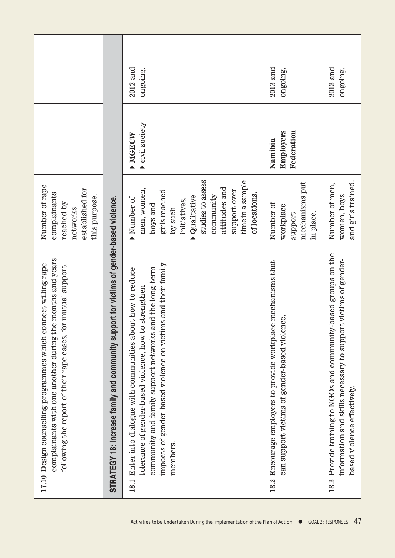|                                                                                                                                                                                              |                                                                                          | $2012$ and<br>ongoing.                                                                                                                                                                                                                                        | $2013$ and<br>ongoing.                                                                                         | $2013$ and<br>ongoing.                                                                                                                                           |
|----------------------------------------------------------------------------------------------------------------------------------------------------------------------------------------------|------------------------------------------------------------------------------------------|---------------------------------------------------------------------------------------------------------------------------------------------------------------------------------------------------------------------------------------------------------------|----------------------------------------------------------------------------------------------------------------|------------------------------------------------------------------------------------------------------------------------------------------------------------------|
|                                                                                                                                                                                              |                                                                                          | civil society<br>MGECW                                                                                                                                                                                                                                        | Federation<br>Employers<br>Namibia                                                                             |                                                                                                                                                                  |
| Number of rape<br>established for<br>complainants<br>this purpose.<br>reached by<br>networks                                                                                                 |                                                                                          | studies to assess<br>time in a sample<br>attitudes and<br>men, women,<br>support over<br>girls reached<br>of locations.<br>Qualitative<br>community<br>Number of<br>initiatives.<br>boys and<br>by such                                                       | mechanisms put<br>Number of<br>workplace<br>in place.<br>support                                               | and girls trained.<br>Number of men,<br>women, boys                                                                                                              |
| complainants with one another during the months and years<br>17.10 Design counselling programmes which connect willing rape<br>following the report of their rape cases, for mutual support. | STRATEGY 18: Increase family and community support for victims of gender-based violence. | impacts of gender-based violence on victims and their family<br>community and family support networks and the long-term<br>18.1 Enter into dialogue with communities about how to reduce<br>tolerance of gender-based violence, how to strengthen<br>members. | 18.2 Encourage employers to provide workplace mechanisms that<br>can support victims of gender-based violence. | 18.3 Provide training to NGOs and community-based groups on the<br>information and skills necessary to support victims of gender-<br>based violence effectively. |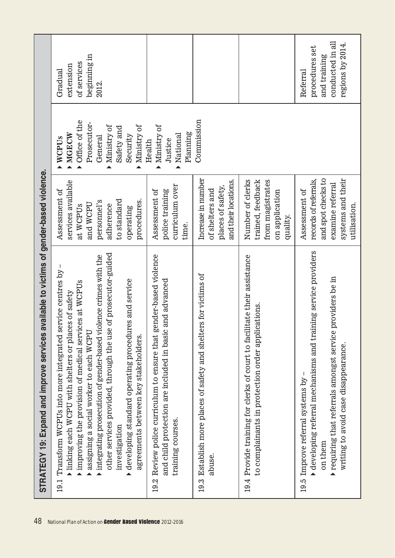| 48                                                         | available to victims of gender-based violence.<br>STRATEGY 19: Expand and improve services                                                                                                                                                                                                                                                                                                                                                                                       |                                                                                                                                                |                                                                                                                   |                                                                                    |
|------------------------------------------------------------|----------------------------------------------------------------------------------------------------------------------------------------------------------------------------------------------------------------------------------------------------------------------------------------------------------------------------------------------------------------------------------------------------------------------------------------------------------------------------------|------------------------------------------------------------------------------------------------------------------------------------------------|-------------------------------------------------------------------------------------------------------------------|------------------------------------------------------------------------------------|
| National Plan of Action on Gender Based Violence 2012-2016 | other services provided, through the use of prosecutor-guided<br>integrating prosecution of gender-based violence crimes with the<br>service centres by<br>developing standard operating procedures and service<br>improving the provision of medical services at WCPUs<br>inking each WCPU with shelters or places of safety<br>assigning a social worker to each WCPU<br>agreements between key stakeholders.<br>Transform WCPUs into more integrated<br>investigation<br>19.1 | services available<br>Assessment of<br>procedures.<br>to standard<br>personnel's<br>and WCPU<br>adherence<br>at WCPU <sub>s</sub><br>operating | Office of the<br>Prosecutor-<br>Ministry of<br>Ministry of<br>Safety and<br>MGECW<br>Security<br>General<br>WCPUs | beginning in<br>of services<br>extension<br>Gradual<br>2012.                       |
|                                                            | Review police curriculum to ensure that gender-based violence<br>and child protection are included in basic and advanced<br>training courses.<br>19.2                                                                                                                                                                                                                                                                                                                            | curriculum over<br>Assessment of<br>police training<br>time.                                                                                   | Ministry of<br>Planning<br>National<br>Justice<br>Health<br>$\blacktriangle$                                      |                                                                                    |
|                                                            | 19.3 Establish more places of safety and shelters for victims of<br>abuse.                                                                                                                                                                                                                                                                                                                                                                                                       | Increase in number<br>and their locations.<br>places of safety,<br>of shelters and                                                             | Commission                                                                                                        |                                                                                    |
|                                                            | Provide training for clerks of court to facilitate their assistance<br>to complainants in protection order applications.<br>19.4                                                                                                                                                                                                                                                                                                                                                 | Number of clerks<br>trained, feedback<br>from magistrates<br>on application<br>quality.                                                        |                                                                                                                   |                                                                                    |
|                                                            | $\bullet$ developing referral mechanisms and training service providers<br>providers be in<br>requiring that referrals amongst service<br>writing to avoid case disappearance.<br>Improve referral systems by<br>on them<br>▲<br>19.5                                                                                                                                                                                                                                            | and spot checks to<br>systems and their<br>records of referrals,<br>examine referral<br>Assessment of<br>utilisation.                          |                                                                                                                   | conducted in all<br>regions by 2014.<br>procedures set<br>and training<br>Referral |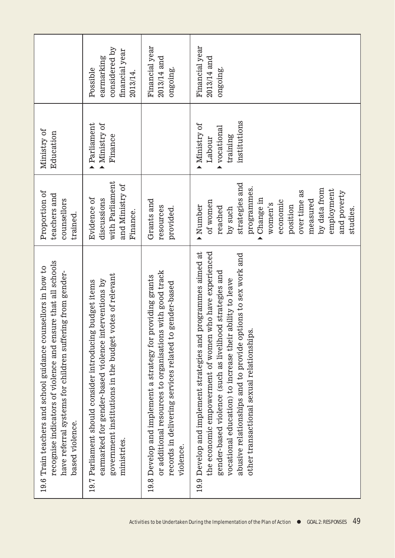|                                                                                                                                                                                                               | considered by<br>financial year<br>earmarking<br>Possible<br>2013/14.                                                                                                                         | Financial year<br>$2013/14$ and<br>ongoing.                                                                                                                                                   | Financial year<br>$2013/14$ and<br>ongoing.                                                                                                                                                                                                                                                                                                                  |
|---------------------------------------------------------------------------------------------------------------------------------------------------------------------------------------------------------------|-----------------------------------------------------------------------------------------------------------------------------------------------------------------------------------------------|-----------------------------------------------------------------------------------------------------------------------------------------------------------------------------------------------|--------------------------------------------------------------------------------------------------------------------------------------------------------------------------------------------------------------------------------------------------------------------------------------------------------------------------------------------------------------|
| Ministry of<br>Education                                                                                                                                                                                      | Parliament<br>Ministry of<br>Finance                                                                                                                                                          |                                                                                                                                                                                               | institutions<br>Ministry of<br>vocational<br>training<br>Labour                                                                                                                                                                                                                                                                                              |
| Proportion of<br>teachers and<br>counsellors<br>trained.                                                                                                                                                      | with Parliament<br>and Ministry of<br>Evidence of<br>discussions<br>Finance.                                                                                                                  | Grants and<br>resources<br>provided.                                                                                                                                                          | strategies and<br>programmes.<br>by data from<br>employment<br>over time as<br>and poverty<br>Change in<br>measured<br>of women<br>economic<br>women's<br>Number<br>position<br>reached<br>by such<br>studies.                                                                                                                                               |
| recognise indicators of violence and ensure that all schools<br>19.6 Train teachers and school guidance counsellors in how to<br>have referral systems for children suffering from gender-<br>based violence. | government institutions in the budget votes of relevant<br>earmarked for gender-based violence interventions by<br>budget items<br>19.7 Parliament should consider introducing<br>ministries. | or additional resources to organisations with good track<br>19.8 Develop and implement a strategy for providing grants<br>records in delivering services related to gender-based<br>violence. | 19.9 Develop and implement strategies and programmes aimed at<br>the economic empowerment of women who have experienced<br>abusive relationships and to provide options to sex work and<br>gender-based violence (such as livelihood strategies and<br>vocational education) to increase their ability to leave<br>other transactional sexual relationships. |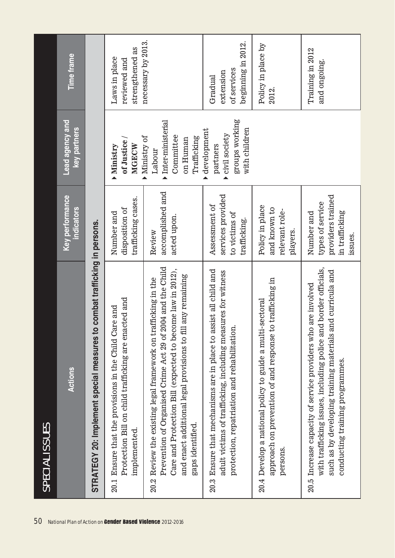| SPECIAL ISSUES                                                                                                                                                                                                                                                                   |                                                                                  |                                                                                    |                                                           |
|----------------------------------------------------------------------------------------------------------------------------------------------------------------------------------------------------------------------------------------------------------------------------------|----------------------------------------------------------------------------------|------------------------------------------------------------------------------------|-----------------------------------------------------------|
| Actions                                                                                                                                                                                                                                                                          | <b>Key performance</b><br><b>ndicators</b>                                       | Lead agency and<br>key partners                                                    | <b>Time frame</b>                                         |
| STRATEGY 20: Implement special measures to combat trafficking in persons.                                                                                                                                                                                                        |                                                                                  |                                                                                    |                                                           |
| Protection Bill on child trafficking are enacted and<br>20.1 Ensure that the provisions in the Child Care and<br>implemented.                                                                                                                                                    | trafficking cases.<br>disposition of<br>Number and                               | of Justice/<br>MGECW<br>Ministry                                                   | strengthened as<br>Laws in place<br>reviewed and          |
| Prevention of Organised Crime Act 29 of 2004 and the Child<br>Care and Protection Bill (expected to become law in 2012),<br>and enact additional legal provisions to fill any remaining<br>Review the existing legal framework on trafficking in the<br>gaps identified.<br>20.2 | accomplished and<br>acted upon.<br>Review                                        | Inter-ministerial<br>Committee<br>Ministry of<br>Trafficking<br>on Human<br>Labour | necessary by 2013.                                        |
| 20.3 Ensure that mechanisms are in place to assist all child and<br>adult victims of trafficking, including measures for witness<br>protection, repatriation and rehabilitation.                                                                                                 | services provided<br>Assessment of<br>to victims of<br>trafficking.              | groups working<br>with children<br>development<br>civil society<br>partners        | beginning in 2012.<br>of services<br>extension<br>Gradual |
| to trafficking in<br>20.4 Develop a national policy to guide a multi-sectoral<br>approach on prevention of and response<br>persons.                                                                                                                                              | Policy in place<br>and known to<br>relevant role-<br>players.                    |                                                                                    | Policy in place by<br>2012.                               |
| nd border officials,<br>and curricula and<br>20.5 Increase capacity of service providers who are involved<br>with trafficking issues, including police ar<br>such as by developing training materials<br>conducting training programmes.                                         | providers trained<br>types of service<br>in trafficking<br>Number and<br>issues. |                                                                                    | Training in 2012<br>and ongoing.                          |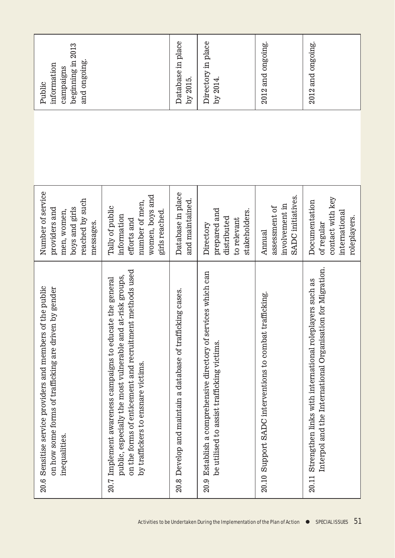| beginning in 2013<br>and ongoing.<br>information<br>campaigns<br>Public                                                              |                                                                                                                                                                                                                          | Database in place<br>by 2015.                                 | Directory in place<br>by 2014.                                                                                  | 2012 and ongoing.                                                     | 2012 and ongoing.                                                                                                           |
|--------------------------------------------------------------------------------------------------------------------------------------|--------------------------------------------------------------------------------------------------------------------------------------------------------------------------------------------------------------------------|---------------------------------------------------------------|-----------------------------------------------------------------------------------------------------------------|-----------------------------------------------------------------------|-----------------------------------------------------------------------------------------------------------------------------|
|                                                                                                                                      |                                                                                                                                                                                                                          |                                                               |                                                                                                                 |                                                                       |                                                                                                                             |
| Number of service<br>reached by such<br>boys and girls<br>providers and<br>men, women,<br>messages.                                  | women, boys and<br>number of men,<br>Tally of public<br>girls reached.<br>information<br>efforts and                                                                                                                     | Database in place<br>and maintained.                          | prepared and<br>stakeholders.<br>distributed<br>to relevant<br>Directory                                        | <b>SADC</b> initiatives.<br>involvement in<br>assessment of<br>Annual | contact with key<br>Documentation<br>international<br>roleplayers.<br>of regular                                            |
| 20.6 Sensitise service providers and members of the public<br>on how some forms of trafficking are driven by gender<br>inequalities. | on the forms of enticement and recruitment methods used<br>public, especially the most vulnerable and at-risk groups,<br>20.7 Implement awareness campaigns to educate the general<br>by traffickers to ensnare victims. | Develop and maintain a database of trafficking cases.<br>20.8 | Establish a comprehensive directory of services which can<br>be utilised to assist trafficking victims.<br>20.9 | trafficking.<br>20.10 Support SADC interventions to combat            | Interpol and the International Organisation for Migration.<br>20.11 Strengthen links with international roleplayers such as |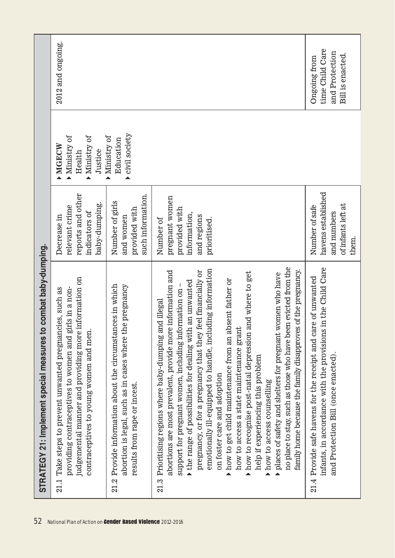| 52                                                         | STRATEGY 21: Implement special measures to combat baby-dumping.                                                                                                                                                                                                                                                                                                                                                                                                                                                                                                                                                                                                                                                                                                                                                                                                                 |                                                                                             |                                                               |                                                                              |
|------------------------------------------------------------|---------------------------------------------------------------------------------------------------------------------------------------------------------------------------------------------------------------------------------------------------------------------------------------------------------------------------------------------------------------------------------------------------------------------------------------------------------------------------------------------------------------------------------------------------------------------------------------------------------------------------------------------------------------------------------------------------------------------------------------------------------------------------------------------------------------------------------------------------------------------------------|---------------------------------------------------------------------------------------------|---------------------------------------------------------------|------------------------------------------------------------------------------|
| National Plan of Action on Gender Based Violence 2012-2016 | judgemental manner and providing more information on<br>providing contraceptives to women and girls in a non-<br>Take steps to prevent unwanted pregnancies, such as<br>contraceptives to young women and men<br>21.1                                                                                                                                                                                                                                                                                                                                                                                                                                                                                                                                                                                                                                                           | reports and other<br>baby-dumping.<br>relevant crime<br>indicators of<br>Decrease in        | Ministry of<br>Ministry of<br>MORCW<br>Justice<br>Health<br>▲ | 2012 and ongoing.                                                            |
|                                                            | 21.2 Provide information about the circumstances in which<br>abortion is legal, such as in cases where the pregnancy<br>results from rape or incest.                                                                                                                                                                                                                                                                                                                                                                                                                                                                                                                                                                                                                                                                                                                            | such information.<br>Number of girls<br>provided with<br>and women                          | civil society<br>Ministry of<br>Education<br>▲                |                                                                              |
|                                                            | no place to stay, such as those who have been evicted from the<br>emotionally ill-equipped to handle, including information<br>family home because the family disapproves of the pregnancy.<br>pregnancy, or for a pregnancy that they feel financially or<br>abortions are most prevalent, provide more information and<br>and where to get<br>women who have<br>how to get child maintenance from an absent father or<br>$\blacktriangleright$ the range of possibilities for dealing with an unwanted<br>support for pregnant women, including information on<br>21.3 Prioritising regions where baby-dumping and illegal<br>how to access a state maintenance grant<br>places of safety and shelters for pregnant<br>how to recognise post-natal depression<br>help if experiencing this problem<br>on foster care and adoption<br>how to access counselling<br>▲<br>▲<br>▲ | pregnant women<br>provided with<br>information,<br>and regions<br>Number of<br>prioritised. |                                                               |                                                                              |
|                                                            | infants, in accordance with the provisions in the Child Care<br>21.4 Provide safe havens for the receipt and care of unwanted<br>and Protection Bill (once enacted)                                                                                                                                                                                                                                                                                                                                                                                                                                                                                                                                                                                                                                                                                                             | havens established<br>of infants left at<br>Number of safe<br>and numbers<br>them.          |                                                               | time Child Care<br>and Protection<br>Bill is enacted.<br><b>Ongoing</b> from |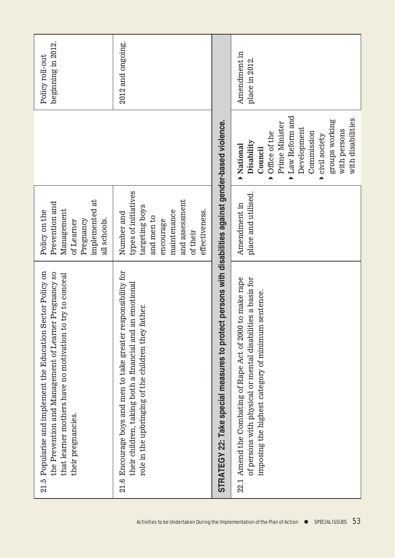| beginning in 2012.<br>Policy roll-out                                                                                                                                                                            | 2012 and ongoing.                                                                                                                                                                       |                                                                                                        | Amendment in<br>place in 2012.<br>Law Reform and<br>with disabilities<br>groups working<br>Prime Minister<br>Development<br>with persons<br>Office of the<br>Commission<br>civil society<br>Disability<br>Mational<br>Council |
|------------------------------------------------------------------------------------------------------------------------------------------------------------------------------------------------------------------|-----------------------------------------------------------------------------------------------------------------------------------------------------------------------------------------|--------------------------------------------------------------------------------------------------------|-------------------------------------------------------------------------------------------------------------------------------------------------------------------------------------------------------------------------------|
|                                                                                                                                                                                                                  |                                                                                                                                                                                         |                                                                                                        |                                                                                                                                                                                                                               |
| implemented at<br>Prevention and<br>Management<br>Policy on the<br>all schools.<br>Pregnancy<br>of Learner                                                                                                       | types of initiatives<br>and assessment<br>targeting boys<br>effectiveness.<br>maintenance<br>Number and<br>and men to<br>encourage<br>of their                                          |                                                                                                        | place and utilised.<br>Amendment in                                                                                                                                                                                           |
| Sector Policy on<br>the Prevention and Management of Learner Pregnancy so<br>try to conceal<br>that learner mothers have no motivation t<br>Popularise and implement the Education<br>their pregnancies.<br>21.5 | 21.6 Encourage boys and men to take greater responsibility for<br>an emotional<br>father.<br>role in the upbringing of the children they<br>their children, taking both a financial and | STRATEGY 22: Take special measures to protect persons with disabilities against gender-based violence. | Amend the Combating of Rape Act of 2000 to make rape<br>of persons with physical or mental disabilities a basis for<br>imposing the highest category of minimum sentence.<br>22.1                                             |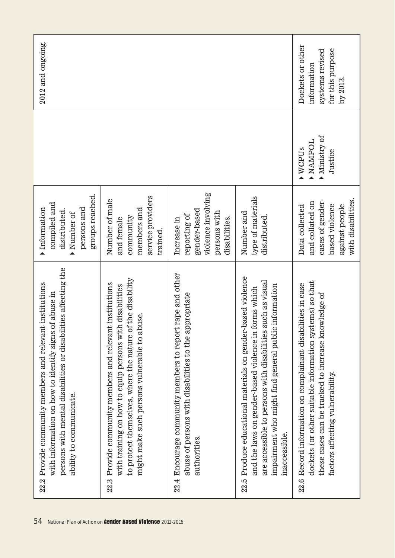| 54                                                                 | persons with mental disabilities or disabilities affecting the<br>22.2 Provide community members and relevant institutions<br>of abuse in<br>with information on how to identify signs<br>ability to communicate.                                                | groups reached.<br>compiled and<br>persons and<br>Information<br>distributed.<br>Number of                      |                                                              | 2012 and ongoing.                                                                 |
|--------------------------------------------------------------------|------------------------------------------------------------------------------------------------------------------------------------------------------------------------------------------------------------------------------------------------------------------|-----------------------------------------------------------------------------------------------------------------|--------------------------------------------------------------|-----------------------------------------------------------------------------------|
| 22.3<br>National Plan of Action on Gender Based Violence 2012-2016 | to protect themselves, where the nature of the disability<br>Provide community members and relevant institutions<br>with training on how to equip persons with disabilities<br>buse.<br>might make such persons vulnerable to al                                 | service providers<br>Number of male<br>members and<br>community<br>and female<br>trained.                       |                                                              |                                                                                   |
|                                                                    | 22.4 Encourage community members to report rape and other<br>abuse of persons with disabilities to the appropriate<br>authorities.                                                                                                                               | violence involving<br>gender-based<br>persons with<br>reporting of<br>disabilities.<br>Increase in              |                                                              |                                                                                   |
|                                                                    | 22.5 Produce educational materials on gender-based violence<br>such as visual<br>impairment who might find general public information<br>forms which<br>are accessible to persons with disabilities<br>and the laws on gender-based violence in<br>inaccessible. | type of materials<br>Number and<br>distributed.                                                                 |                                                              |                                                                                   |
| 22.6                                                               | dockets (or other suitable information systems) so that<br>Record information on complainant disabilities in case<br>these cases can be tracked to increase knowledge of<br>factors affecting vulnerability.                                                     | with disabilities.<br>cases of gender-<br>and collated on<br>based violence<br>against people<br>Data collected | Ministry of<br><b>DOUNVN</b><br>WCPU <sub>S</sub><br>Justice | Dockets or other<br>for this purpose<br>systems revised<br>information<br>by 2013 |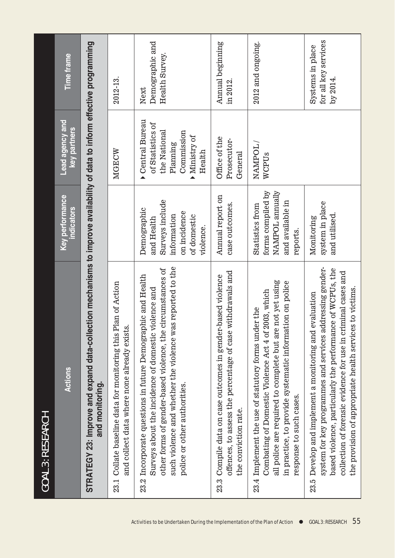| <b>GOAL 3: RESEARCH</b>                                                                                                                                                                                                                                                                                           |                                                                                                         |                                                                                                       |                                                      |
|-------------------------------------------------------------------------------------------------------------------------------------------------------------------------------------------------------------------------------------------------------------------------------------------------------------------|---------------------------------------------------------------------------------------------------------|-------------------------------------------------------------------------------------------------------|------------------------------------------------------|
| <b>Actions</b>                                                                                                                                                                                                                                                                                                    | <b>Key performance</b><br>ndicators                                                                     | Lead agency and<br><b>Key partners</b>                                                                | <b>Time frame</b>                                    |
| STRATEGY 23: Improve and expand data-collection mechanisms to improve availability of data to inform effective programming<br>and monitoring.                                                                                                                                                                     |                                                                                                         |                                                                                                       |                                                      |
| Plan of Action<br>and collect data where none already exists.<br>23.1 Collate baseline data for monitoring this                                                                                                                                                                                                   |                                                                                                         | MGECW                                                                                                 | 2012-13.                                             |
| such violence and whether the violence was reported to the<br>other forms of gender-based violence, the circumstances of<br>23.2 Incorporate questions in future Demographic and Health<br>violence and<br>Surveys about the incidence of domestic<br>police or other authorities.                                | Surveys include<br>Demographic<br>on incidence<br>information<br>of domestic<br>and Health<br>violence. | Central Bureau<br>of Statistics of<br>the National<br>Commission<br>Ministry of<br>Planning<br>Health | Demographic and<br>Health Survey.<br>Next            |
| withdrawals and<br>23.3 Compile data on case outcomes in gender-based violence<br>offences, to assess the percentage of case<br>the conviction rate.                                                                                                                                                              | Annual report on<br>case outcomes.                                                                      | Office of the<br>Prosecutor-<br>General                                                               | Annual beginning<br>in 2012.                         |
| all police are required to complete but are not yet using<br>in practice, to provide systematic information on police<br>2003, which<br>23.4 Implement the use of statutory forms under the<br>Combating of Domestic Violence Act 4 of<br>response to such cases.                                                 | forms compiled by<br>NAMPOL annually<br>and available in<br>Statistics from<br>reports.                 | NAMPOL/<br>WCPUs                                                                                      | 2012 and ongoing.                                    |
| system for key programmes and services addressing gender-<br>based violence, particularly the performance of WCPUs, the<br>collection of forensic evidence for use in criminal cases and<br>the provision of appropriate health services to victims.<br>evaluation<br>23.5 Develop and implement a monitoring and | system in place<br>and utilised.<br>Monitoring                                                          |                                                                                                       | for all key services<br>Systems in place<br>by 2014. |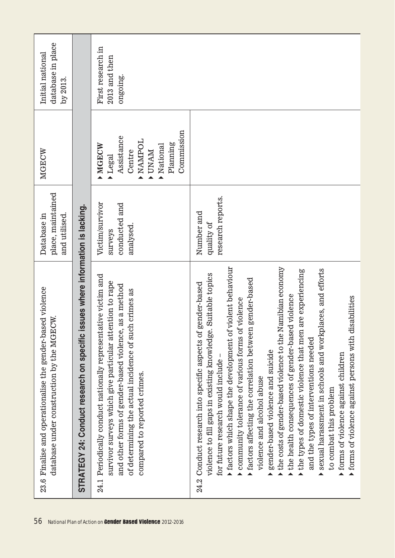| sed violence<br>database under construction by the MGECW<br>23.6 Finalise and operationalise the gender-ba                                                                                                                                                                                                                                                                                                                                                                                                                                                                                                                                                                                                                                                                                                                                                                        | place, maintained<br>and utilised.<br>Database in        | MGECW                                                                                                        | database in place<br>Initial national<br>by 2013. |
|-----------------------------------------------------------------------------------------------------------------------------------------------------------------------------------------------------------------------------------------------------------------------------------------------------------------------------------------------------------------------------------------------------------------------------------------------------------------------------------------------------------------------------------------------------------------------------------------------------------------------------------------------------------------------------------------------------------------------------------------------------------------------------------------------------------------------------------------------------------------------------------|----------------------------------------------------------|--------------------------------------------------------------------------------------------------------------|---------------------------------------------------|
| ssues where information is lacking.<br>STRATEGY 24: Conduct research on specific                                                                                                                                                                                                                                                                                                                                                                                                                                                                                                                                                                                                                                                                                                                                                                                                  |                                                          |                                                                                                              |                                                   |
| Periodically conduct nationally representative victim and<br>survivor surveys which give particular attention to rape<br>and other forms of gender-based violence, as a method<br>of determining the actual incidence of such crimes as<br>compared to reported crimes.<br>24.1                                                                                                                                                                                                                                                                                                                                                                                                                                                                                                                                                                                                   | Victim/survivor<br>conducted and<br>analysed.<br>surveys | Commission<br>Assistance<br><b>NAMPOL</b><br>Planning<br>MGECW<br>National<br>Centre<br><b>NAMA</b><br>Legal | First research in<br>2013 and then<br>ongoing.    |
| factors which shape the development of violent behaviour<br>the costs of gender-based violence to the Namibian economy<br>sexual harassment in schools and workplaces, and efforts<br>are experiencing<br>violence to fill gaps in existing knowledge. Suitable topics<br>$\blacktriangleright$ factors affecting the correlation between gender-based<br>gender-based<br>the health consequences of gender-based violence<br>forms of violence against persons with disabilities<br>community tolerance of various forms of violence<br>24.2 Conduct research into specific aspects of<br>the types of domestic violence that men<br>and the types of interventions needed<br>gender-based violence and suicide<br>forms of violence against children<br>for future research would include<br>violence and alcohol abuse<br>to combat this problem<br>▲<br>$\blacktriangle$<br>▲ | research reports.<br>Number and<br>quality of            |                                                                                                              |                                                   |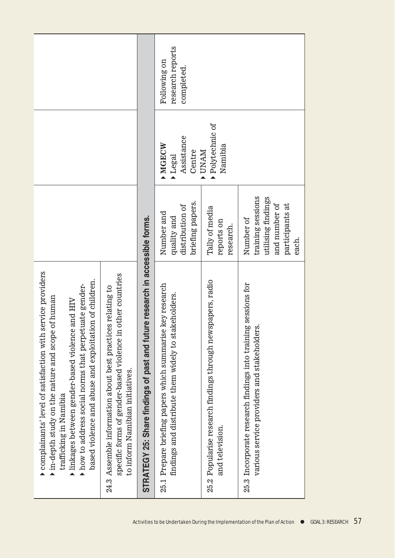| complainants' level of satisfaction with service providers<br>based violence and abuse and exploitation of children.<br>how to address social norms that perpetuate gender-<br>of human<br>and HIV<br>linkages between gender-based violence<br>in-depth study on the nature and scope<br>trafficking in Namibia |                                                                                                   |                                          |                                                |
|------------------------------------------------------------------------------------------------------------------------------------------------------------------------------------------------------------------------------------------------------------------------------------------------------------------|---------------------------------------------------------------------------------------------------|------------------------------------------|------------------------------------------------|
| other countries<br>ss relating to<br>24.3 Assemble information about best practice<br>specific forms of gender-based violence in<br>to inform Namibian initiatives.                                                                                                                                              |                                                                                                   |                                          |                                                |
| ire research in accessible forms.<br>STRATEGY 25: Share findings of past and futu                                                                                                                                                                                                                                |                                                                                                   |                                          |                                                |
| key research<br>findings and distribute them widely to stakeholders.<br>Prepare briefing papers which summarise<br>25.1                                                                                                                                                                                          | briefing papers.<br>distribution of<br>Number and<br>quality and                                  | Assistance<br>MORCW<br>Centre<br>Legal   | research reports<br>Following on<br>completed. |
| 25.2 Popularise research findings through newspapers, radio<br>and television.                                                                                                                                                                                                                                   | Tally of media<br>reports on<br>research.                                                         | Polytechnic of<br>Namibia<br><b>UNAM</b> |                                                |
| 25.3 Incorporate research findings into training sessions for<br>various service providers and stakeholders.                                                                                                                                                                                                     | training sessions<br>utilising findings<br>participants at<br>and number of<br>Number of<br>each. |                                          |                                                |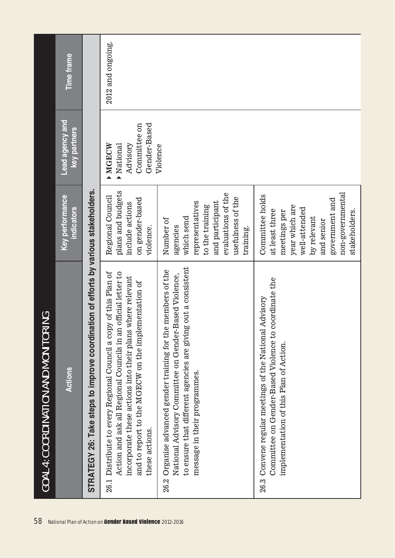|      | <b>GOAL 4: COORDINATION AND MONITOR</b>                                                                                                                                                                                                                            |                                                                                                                                                                          |                                                               |                   |
|------|--------------------------------------------------------------------------------------------------------------------------------------------------------------------------------------------------------------------------------------------------------------------|--------------------------------------------------------------------------------------------------------------------------------------------------------------------------|---------------------------------------------------------------|-------------------|
|      | <b>Actions</b>                                                                                                                                                                                                                                                     | Key performance<br><b>indicators</b>                                                                                                                                     | Lead agency and<br>key partners                               | <b>Time frame</b> |
|      | STRATEGY 26: Take steps to improve coordination of efforts by various stakeholders.                                                                                                                                                                                |                                                                                                                                                                          |                                                               |                   |
| 26.1 | Action and ask all Regional Councils in an official letter to<br>Distribute to every Regional Council a copy of this Plan of<br>incorporate these actions into their plans where relevant<br>and to report to the MGECW on the implementation of<br>these actions. | plans and budgets<br>Regional Council<br>on gender-based<br>include actions<br>violence.                                                                                 | Gender-Based<br>Committee on<br>Advisory<br>MGECW<br>National | 2012 and ongoing. |
|      | to ensure that different agencies are giving out a consistent<br>26.2 Organise advanced gender training for the members of the<br>Based Violence,<br>National Advisory Committee on Gender-<br>message in their programmes.                                        | evaluations of the<br>usefulness of the<br>representatives<br>and participant<br>to the training<br>which send<br>Number of<br>agencies<br>training.                     | Violence                                                      |                   |
|      | coordinate the<br>Advisory<br>26.3 Convene regular meetings of the National<br>Committee on Gender-Based Violence to<br>implementation of this Plan of Action.                                                                                                     | non-governmental<br>Committee holds<br>government and<br>year which are<br>well-attended<br>at least three<br>stakeholders.<br>meetings per<br>by relevant<br>and senior |                                                               |                   |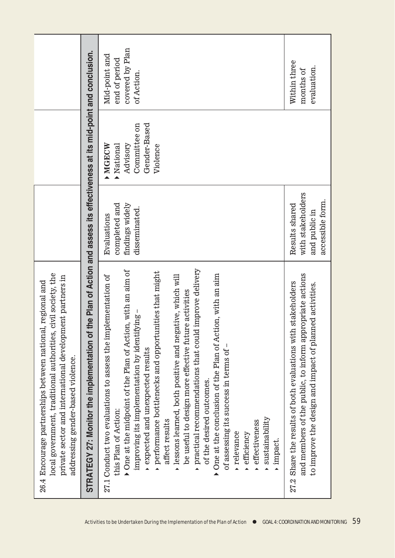| civil society, the<br>private sector and international development partners in<br>26.4 Encourage partnerships between national, regional and<br>local government, traditional authorities,<br>addressing gender-based violence.                                                                                                                                                                                                                                                                                                                                                                                                                                                                                                                  |                                                                          |                                                                                  |                                                                 |
|--------------------------------------------------------------------------------------------------------------------------------------------------------------------------------------------------------------------------------------------------------------------------------------------------------------------------------------------------------------------------------------------------------------------------------------------------------------------------------------------------------------------------------------------------------------------------------------------------------------------------------------------------------------------------------------------------------------------------------------------------|--------------------------------------------------------------------------|----------------------------------------------------------------------------------|-----------------------------------------------------------------|
| STRATEGY 27: Monitor the implementation of the Plan of Action and assess its effectiveness at its mid-point and conclusion.                                                                                                                                                                                                                                                                                                                                                                                                                                                                                                                                                                                                                      |                                                                          |                                                                                  |                                                                 |
| practical recommendations that could improve delivery<br>$\triangleright$ One at the midpoint of the Plan of Action, with an aim of<br>performance bottlenecks and opportunities that might<br>$\blacktriangleright$ One at the conclusion of the Plan of Action, with an aim<br>27.1 Conduct two evaluations to assess the implementation of<br>lessons learned, both positive and negative, which will<br>be useful to design more effective future activities<br>improving its implementation by identifying –<br>expected and unexpected results<br>of assessing its success in terms of<br>of the desired outcomes.<br>this Plan of Action:<br>sustainability<br>affect results<br>effectiveness<br>relevance<br>efficiency<br>impact.<br>▲ | completed and<br>findings widely<br>disseminated.<br>Evaluations         | Gender-Based<br>Committee on<br>National<br>Advisory<br><b>MGECW</b><br>Violence | covered by Plan<br>Mid-point and<br>end of period<br>of Action. |
| and members of the public, to inform appropriate actions<br>27.2 Share the results of both evaluations with stakeholders<br>to improve the design and impact of planned activities.                                                                                                                                                                                                                                                                                                                                                                                                                                                                                                                                                              | with stakeholders<br>accessible form.<br>Results shared<br>and public in |                                                                                  | Within three<br>evaluation.<br>months of                        |